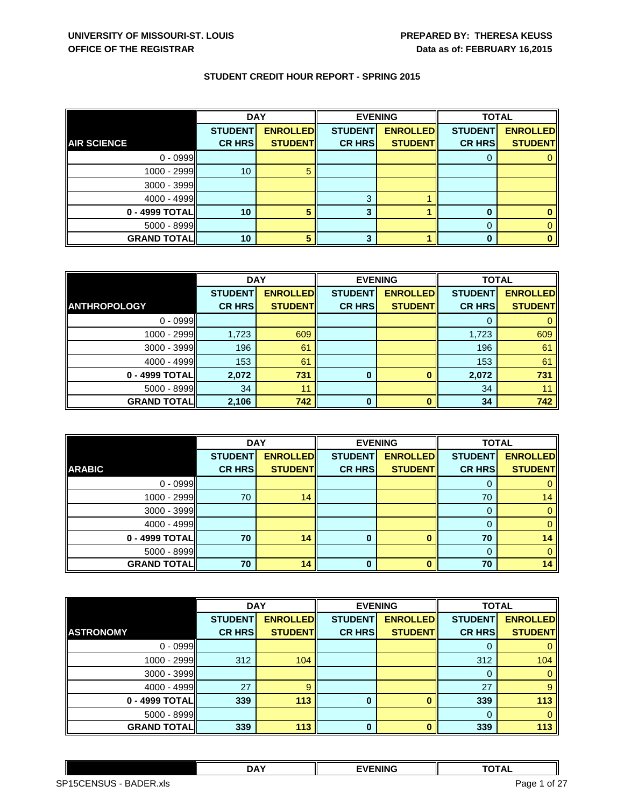|                    | <b>DAY</b>     |                 |                | <b>EVENING</b>  | <b>TOTAL</b>   |                 |
|--------------------|----------------|-----------------|----------------|-----------------|----------------|-----------------|
|                    | <b>STUDENT</b> | <b>ENROLLED</b> | <b>STUDENT</b> | <b>ENROLLED</b> | <b>STUDENT</b> | <b>ENROLLED</b> |
| <b>AIR SCIENCE</b> | <b>CR HRS</b>  | <b>STUDENT</b>  | <b>CR HRS</b>  | <b>STUDENT</b>  | <b>CR HRS</b>  | <b>STUDENT</b>  |
| $0 - 0999$         |                |                 |                |                 |                |                 |
| 1000 - 2999        | 10             |                 |                |                 |                |                 |
| $3000 - 3999$      |                |                 |                |                 |                |                 |
| $4000 - 4999$      |                |                 | 3              |                 |                |                 |
| 0 - 4999 TOTAL     | 10             |                 |                |                 |                |                 |
| $5000 - 8999$      |                |                 |                |                 | 0              |                 |
| <b>GRAND TOTAL</b> | 10             |                 | 3              |                 | 0              |                 |

|                     | <b>DAY</b>     |                 | <b>EVENING</b> |                 | <b>TOTAL</b>   |                 |
|---------------------|----------------|-----------------|----------------|-----------------|----------------|-----------------|
|                     | <b>STUDENT</b> | <b>ENROLLED</b> | <b>STUDENT</b> | <b>ENROLLED</b> | <b>STUDENT</b> | <b>ENROLLED</b> |
| <b>ANTHROPOLOGY</b> | <b>CR HRS</b>  | <b>STUDENT</b>  | <b>CR HRS</b>  | <b>STUDENT</b>  | <b>CR HRS</b>  | <b>STUDENT</b>  |
| $0 - 0999$          |                |                 |                |                 |                |                 |
| 1000 - 2999         | 1,723          | 609             |                |                 | 1,723          | 609             |
| $3000 - 3999$       | 196            | 61              |                |                 | 196            | 61              |
| 4000 - 4999         | 153            | 61              |                |                 | 153            | 61              |
| 0 - 4999 TOTAL      | 2,072          | 731             | 0              |                 | 2,072          | 731             |
| $5000 - 8999$       | 34             | 11              |                |                 | 34             |                 |
| <b>GRAND TOTAL</b>  | 2,106          | 742             | <sup>0</sup>   |                 | 34             | 742             |

|                    | <b>DAY</b>     |                 | <b>EVENING</b> |                 | <b>TOTAL</b>   |                 |
|--------------------|----------------|-----------------|----------------|-----------------|----------------|-----------------|
|                    | <b>STUDENT</b> | <b>ENROLLED</b> | <b>STUDENT</b> | <b>ENROLLED</b> | <b>STUDENT</b> | <b>ENROLLED</b> |
| <b>ARABIC</b>      | <b>CR HRS</b>  | <b>STUDENT</b>  | <b>CR HRS</b>  | <b>STUDENT</b>  | <b>CR HRS</b>  | <b>STUDENT</b>  |
| $0 - 0999$         |                |                 |                |                 | 0              |                 |
| 1000 - 2999        | 70             | 14              |                |                 | 70             | 14              |
| $3000 - 3999$      |                |                 |                |                 | 0              |                 |
| $4000 - 4999$      |                |                 |                |                 | 0              |                 |
| 0 - 4999 TOTAL     | 70             | 14              | 0              |                 | 70             | 14              |
| 5000 - 8999        |                |                 |                |                 | $\mathbf{0}$   |                 |
| <b>GRAND TOTAL</b> | 70             | 14              | $\bf{0}$       |                 | 70             | 14              |

|                    | <b>DAY</b>     |                 | <b>EVENING</b> |                 | <b>TOTAL</b>   |                 |
|--------------------|----------------|-----------------|----------------|-----------------|----------------|-----------------|
|                    | <b>STUDENT</b> | <b>ENROLLED</b> | <b>STUDENT</b> | <b>ENROLLED</b> | <b>STUDENT</b> | <b>ENROLLED</b> |
| <b>ASTRONOMY</b>   | <b>CR HRS</b>  | <b>STUDENT</b>  | <b>CR HRS</b>  | <b>STUDENT</b>  | <b>CR HRS</b>  | <b>STUDENT</b>  |
| $0 - 0999$         |                |                 |                |                 |                |                 |
| 1000 - 2999        | 312            | 104             |                |                 | 312            | 104             |
| 3000 - 3999        |                |                 |                |                 |                |                 |
| $4000 - 4999$      | 27             | $\mathbf{q}$    |                |                 | 27             |                 |
| 0 - 4999 TOTAL     | 339            | 113             | 0              |                 | 339            | 113             |
| $5000 - 8999$      |                |                 |                |                 |                |                 |
| <b>GRAND TOTAL</b> | 339            | 113             | $\bf{0}$       |                 | 339            | 113             |

|                        | <b>DAY</b> | <b>EVENING</b> | וגדהז<br>1 A L<br>$\overline{\phantom{a}}$ |  |
|------------------------|------------|----------------|--------------------------------------------|--|
| SP15CENSUS - BADER.xls |            |                | of 27<br>Page                              |  |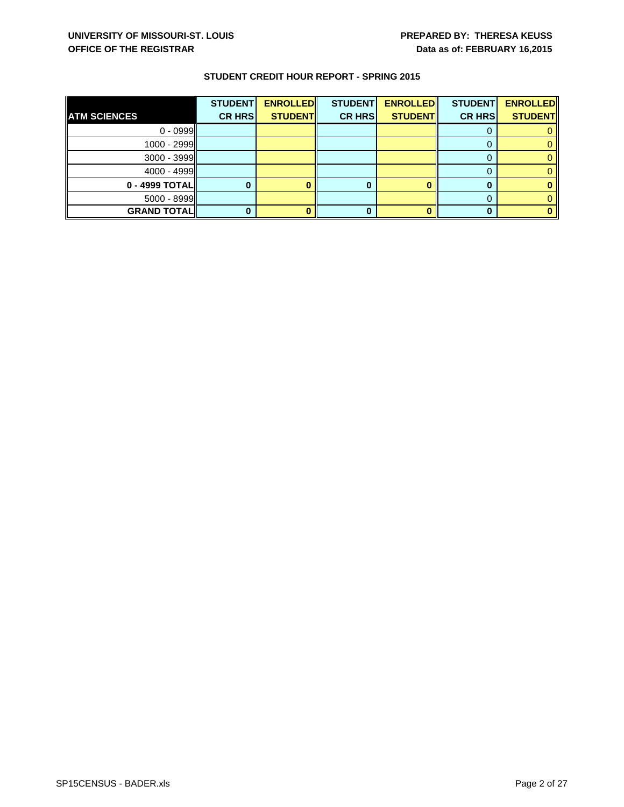|                     | <b>STUDENT</b> | <b>ENROLLED</b> | <b>STUDENT</b> | <b>ENROLLED</b> | <b>STUDENT</b> | <b>ENROLLED</b> |
|---------------------|----------------|-----------------|----------------|-----------------|----------------|-----------------|
| <b>ATM SCIENCES</b> | <b>CR HRS</b>  | <b>STUDENT</b>  | <b>CR HRS</b>  | <b>STUDENT</b>  | <b>CR HRS</b>  | <b>STUDENT</b>  |
| $0 - 0999$          |                |                 |                |                 |                |                 |
| 1000 - 2999         |                |                 |                |                 |                |                 |
| $3000 - 3999$       |                |                 |                |                 |                |                 |
| 4000 - 4999         |                |                 |                |                 |                |                 |
| 0 - 4999 TOTAL      |                |                 |                |                 |                |                 |
| $5000 - 8999$       |                |                 |                |                 |                |                 |
| <b>GRAND TOTAL</b>  |                |                 |                |                 |                |                 |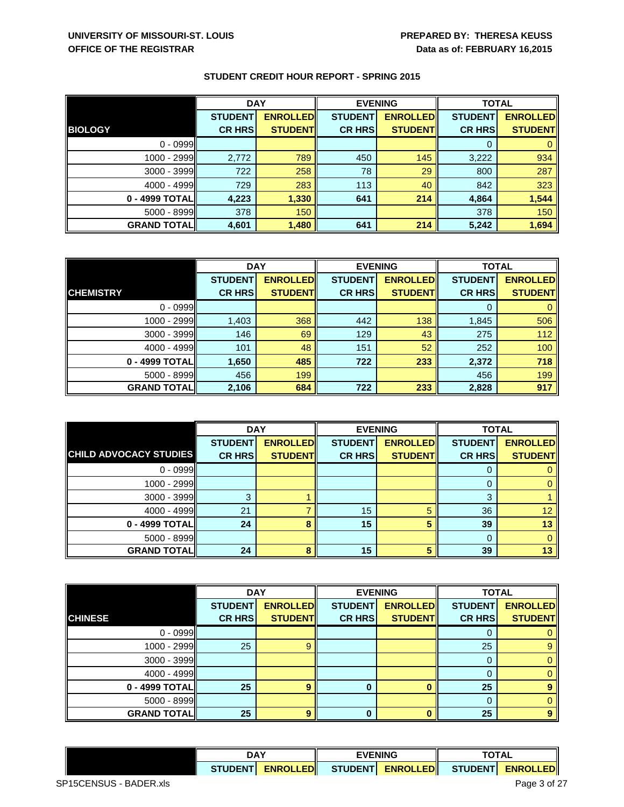|                    | <b>DAY</b>     |                 | <b>EVENING</b> |                 | <b>TOTAL</b>   |                 |
|--------------------|----------------|-----------------|----------------|-----------------|----------------|-----------------|
|                    | <b>STUDENT</b> | <b>ENROLLED</b> | <b>STUDENT</b> | <b>ENROLLED</b> | <b>STUDENT</b> | <b>ENROLLED</b> |
| <b>BIOLOGY</b>     | <b>CR HRS</b>  | <b>STUDENT</b>  | <b>CR HRS</b>  | <b>STUDENTI</b> | <b>CR HRS</b>  | <b>STUDENT</b>  |
| $0 - 0999$         |                |                 |                |                 |                |                 |
| 1000 - 2999        | 2,772          | 789             | 450            | 145             | 3,222          | 934             |
| 3000 - 3999        | 722            | 258             | 78             | 29              | 800            | 287             |
| $4000 - 4999$      | 729            | 283             | 113            | 40              | 842            | 323             |
| 0 - 4999 TOTAL     | 4,223          | 1,330           | 641            | 214             | 4,864          | 1,544           |
| $5000 - 8999$      | 378            | 150             |                |                 | 378            | 150             |
| <b>GRAND TOTAL</b> | 4,601          | 1,480           | 641            | 214             | 5,242          | 1,694           |

|                    | <b>DAY</b>     |                 | <b>EVENING</b> |                 | <b>TOTAL</b>   |                 |
|--------------------|----------------|-----------------|----------------|-----------------|----------------|-----------------|
|                    | <b>STUDENT</b> | <b>ENROLLED</b> | <b>STUDENT</b> | <b>ENROLLED</b> | <b>STUDENT</b> | <b>ENROLLED</b> |
| <b>CHEMISTRY</b>   | <b>CR HRS</b>  | <b>STUDENT</b>  | <b>CR HRS</b>  | <b>STUDENT</b>  | <b>CR HRS</b>  | <b>STUDENT</b>  |
| $0 - 0999$         |                |                 |                |                 | 0              |                 |
| 1000 - 2999        | 1,403          | 368             | 442            | 138             | 1,845          | 506             |
| $3000 - 3999$      | 146            | 69              | 129            | 43              | 275            | 112             |
| $4000 - 4999$      | 101            | 48              | 151            | 52              | 252            | 100             |
| 0 - 4999 TOTAL     | 1,650          | 485             | 722            | 233             | 2,372          | 718             |
| 5000 - 8999        | 456            | 199             |                |                 | 456            | 199             |
| <b>GRAND TOTAL</b> | 2,106          | 684             | 722            | 233             | 2,828          | 917             |

|                               | <b>DAY</b>     |                 | <b>EVENING</b> |                 | <b>TOTAL</b>   |                 |
|-------------------------------|----------------|-----------------|----------------|-----------------|----------------|-----------------|
|                               | <b>STUDENT</b> | <b>ENROLLED</b> | <b>STUDENT</b> | <b>ENROLLED</b> | <b>STUDENT</b> | <b>ENROLLED</b> |
| <b>CHILD ADVOCACY STUDIES</b> | <b>CR HRS</b>  | <b>STUDENTI</b> | <b>CR HRS</b>  | <b>STUDENT</b>  | <b>CR HRS</b>  | <b>STUDENT</b>  |
| $0 - 0999$                    |                |                 |                |                 | 0              |                 |
| 1000 - 2999                   |                |                 |                |                 | 0              |                 |
| 3000 - 3999                   | З              |                 |                |                 | 3              |                 |
| $4000 - 4999$                 | 21             |                 | 15             |                 | 36             | 12              |
| 0 - 4999 TOTAL                | 24             | 8               | 15             |                 | 39             | 13              |
| $5000 - 8999$                 |                |                 |                |                 | 0              |                 |
| <b>GRAND TOTAL</b>            | 24             | я               | 15             | к               | 39             | 13              |

|                    | <b>DAY</b>     |                 | <b>EVENING</b> |                 | <b>TOTAL</b>   |                 |
|--------------------|----------------|-----------------|----------------|-----------------|----------------|-----------------|
|                    | <b>STUDENT</b> | <b>ENROLLED</b> | <b>STUDENT</b> | <b>ENROLLED</b> | <b>STUDENT</b> | <b>ENROLLED</b> |
| <b>CHINESE</b>     | <b>CR HRS</b>  | <b>STUDENT</b>  | <b>CR HRS</b>  | <b>STUDENT</b>  | <b>CR HRS</b>  | <b>STUDENT</b>  |
| $0 - 0999$         |                |                 |                |                 |                |                 |
| $1000 - 2999$      | 25             | g               |                |                 | 25             |                 |
| 3000 - 3999        |                |                 |                |                 |                |                 |
| $4000 - 4999$      |                |                 |                |                 |                |                 |
| 0 - 4999 TOTAL     | 25             | 9               |                |                 | 25             |                 |
| 5000 - 8999        |                |                 |                |                 |                |                 |
| <b>GRAND TOTAL</b> | 25             | 9               | 0              |                 | 25             | 9               |

|                 | <b>DAY</b> |                                       | <b>EVENING</b> |                 | TOTAL            |  |
|-----------------|------------|---------------------------------------|----------------|-----------------|------------------|--|
| <b>STUDENTI</b> |            | <b>ENROLLEDII STUDENTI ENROLLEDII</b> |                | <b>STUDENTI</b> | <b>ENROLLEDI</b> |  |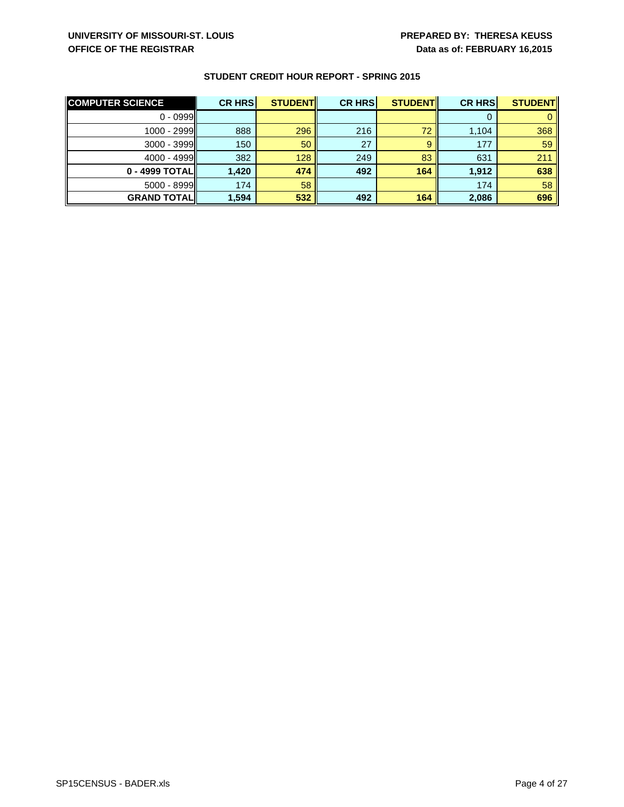| <b>COMPUTER SCIENCE</b> | <b>CR HRS</b> | <b>STUDENT</b> | <b>CR HRS</b> | <b>STUDENT</b> | <b>CR HRS</b> | <b>STUDENT</b> |
|-------------------------|---------------|----------------|---------------|----------------|---------------|----------------|
| $0 - 0999$              |               |                |               |                |               |                |
| 1000 - 2999             | 888           | 296            | 216           | 72             | 1,104         | 368            |
| $3000 - 3999$           | 150           | 50             | 27            |                | 177           | 59             |
| $4000 - 4999$           | 382           | 128            | 249           | 83             | 631           | 211            |
| 0 - 4999 TOTALI         | 1.420         | 474            | 492           | 164            | 1.912         | 638            |
| $5000 - 8999$           | 174           | 58             |               |                | 174           | 58             |
| <b>GRAND TOTAL</b>      | 1,594         | 532            | 492           | 164            | 2,086         | 696            |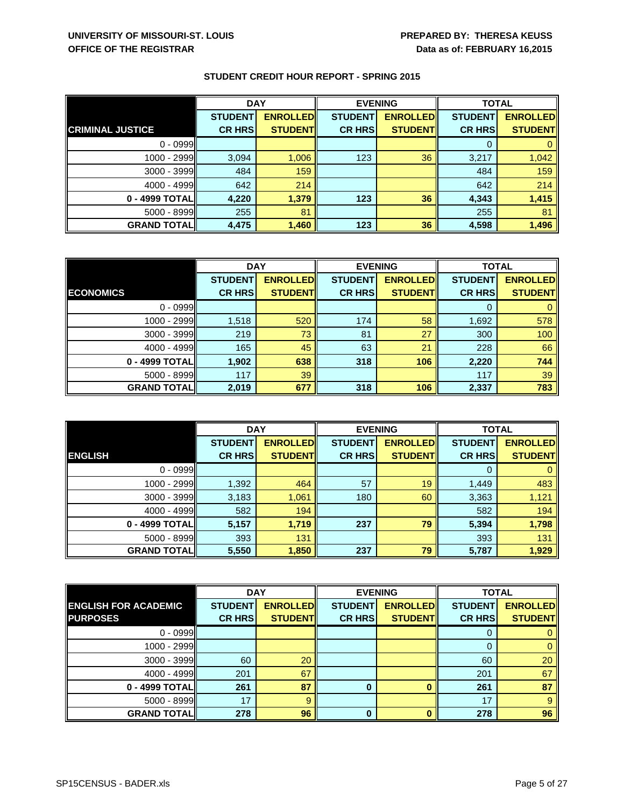|                         | <b>DAY</b>     |                 | <b>EVENING</b> |                 | <b>TOTAL</b>   |                 |
|-------------------------|----------------|-----------------|----------------|-----------------|----------------|-----------------|
|                         | <b>STUDENT</b> | <b>ENROLLED</b> | <b>STUDENT</b> | <b>ENROLLED</b> | <b>STUDENT</b> | <b>ENROLLED</b> |
| <b>CRIMINAL JUSTICE</b> | <b>CR HRS</b>  | <b>STUDENT</b>  | <b>CR HRS</b>  | <b>STUDENT</b>  | <b>CR HRS</b>  | <b>STUDENT</b>  |
| $0 - 0999$              |                |                 |                |                 |                |                 |
| 1000 - 2999             | 3,094          | 1,006           | 123            | 36              | 3,217          | 1,042           |
| $3000 - 3999$           | 484            | 159             |                |                 | 484            | 159             |
| 4000 - 4999             | 642            | 214             |                |                 | 642            | 214             |
| 0 - 4999 TOTAL          | 4,220          | 1,379           | 123            | 36              | 4,343          | 1,415           |
| 5000 - 8999             | 255            | 81              |                |                 | 255            | 81              |
| <b>GRAND TOTAL</b>      | 4,475          | 1,460           | 123            | 36              | 4,598          | 1,496           |

|                    | <b>DAY</b>     |                 | <b>EVENING</b> |                 | <b>TOTAL</b>   |                 |
|--------------------|----------------|-----------------|----------------|-----------------|----------------|-----------------|
|                    | <b>STUDENT</b> | <b>ENROLLED</b> | <b>STUDENT</b> | <b>ENROLLED</b> | <b>STUDENT</b> | <b>ENROLLED</b> |
| <b>ECONOMICS</b>   | <b>CR HRS</b>  | <b>STUDENT</b>  | <b>CR HRS</b>  | <b>STUDENT</b>  | <b>CR HRS</b>  | <b>STUDENT</b>  |
| $0 - 0999$         |                |                 |                |                 | 0              |                 |
| $1000 - 2999$      | 1,518          | 520             | 174            | 58              | 1,692          | 578             |
| $3000 - 3999$      | 219            | 73              | 81             | 27              | 300            | 100             |
| $4000 - 4999$      | 165            | 45              | 63             | 21              | 228            | 66              |
| 0 - 4999 TOTAL     | 1,902          | 638             | 318            | 106             | 2,220          | 744             |
| $5000 - 8999$      | 117            | 39              |                |                 | 117            | 39              |
| <b>GRAND TOTAL</b> | 2,019          | 677             | 318            | 106             | 2,337          | 783             |

|                    | <b>DAY</b>     |                 | <b>EVENING</b> |                 | <b>TOTAL</b>   |                 |
|--------------------|----------------|-----------------|----------------|-----------------|----------------|-----------------|
|                    | <b>STUDENT</b> | <b>ENROLLED</b> | <b>STUDENT</b> | <b>ENROLLED</b> | <b>STUDENT</b> | <b>ENROLLED</b> |
| <b>ENGLISH</b>     | <b>CR HRS</b>  | <b>STUDENT</b>  | <b>CR HRS</b>  | <b>STUDENT</b>  | <b>CR HRS</b>  | <b>STUDENT</b>  |
| $0 - 0999$         |                |                 |                |                 | 0              |                 |
| 1000 - 2999        | 1,392          | 464             | 57             | 19              | 1,449          | 483             |
| 3000 - 3999        | 3,183          | 1,061           | 180            | 60              | 3,363          | 1,121           |
| $4000 - 4999$      | 582            | 194             |                |                 | 582            | 194             |
| 0 - 4999 TOTAL     | 5,157          | 1,719           | 237            | 79              | 5,394          | 1,798           |
| $5000 - 8999$      | 393            | 131             |                |                 | 393            | 131             |
| <b>GRAND TOTAL</b> | 5,550          | 1,850           | 237            | 79              | 5,787          | 1,929           |

|                             | <b>DAY</b>     |                 | <b>EVENING</b> |                 | <b>TOTAL</b>   |                 |
|-----------------------------|----------------|-----------------|----------------|-----------------|----------------|-----------------|
| <b>ENGLISH FOR ACADEMIC</b> | <b>STUDENT</b> | <b>ENROLLED</b> | <b>STUDENT</b> | <b>ENROLLED</b> | <b>STUDENT</b> | <b>ENROLLED</b> |
| <b>PURPOSES</b>             | <b>CR HRS</b>  | <b>STUDENT</b>  | <b>CR HRS</b>  | <b>STUDENT</b>  | <b>CR HRS</b>  | <b>STUDENT</b>  |
| $0 - 0999$                  |                |                 |                |                 | 0              |                 |
| $1000 - 2999$               |                |                 |                |                 | 0              |                 |
| 3000 - 3999                 | 60             | 20              |                |                 | 60             | 20              |
| $4000 - 4999$               | 201            | 67              |                |                 | 201            | 67              |
| 0 - 4999 TOTAL              | 261            | 87              | 0              |                 | 261            | 87              |
| 5000 - 8999                 | 17             | g               |                |                 | 17             | 9               |
| <b>GRAND TOTALI</b>         | 278            | 96              | 0              |                 | 278            | 96              |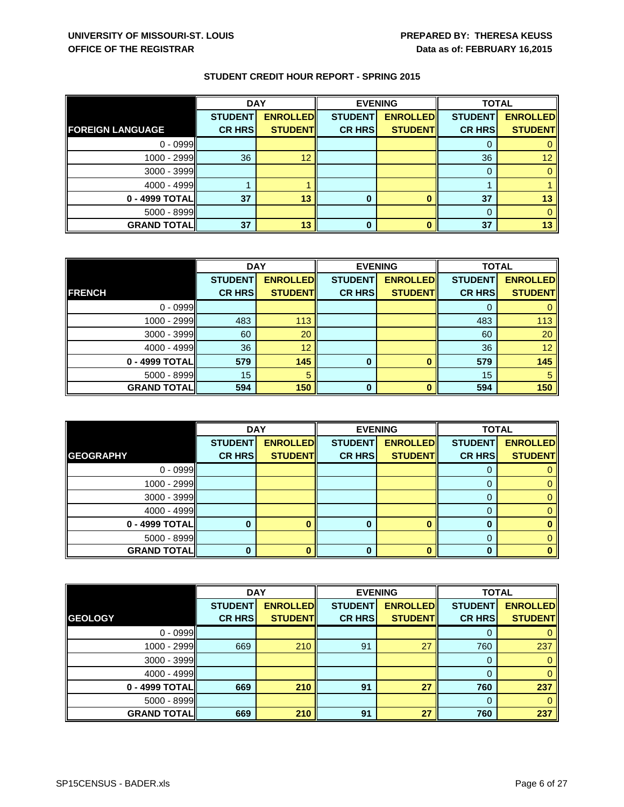|                         | <b>DAY</b>     |                 | <b>EVENING</b> |                 | <b>TOTAL</b>   |                 |
|-------------------------|----------------|-----------------|----------------|-----------------|----------------|-----------------|
|                         | <b>STUDENT</b> | <b>ENROLLED</b> | <b>STUDENT</b> | <b>ENROLLED</b> | <b>STUDENT</b> | <b>ENROLLED</b> |
| <b>FOREIGN LANGUAGE</b> | <b>CR HRS</b>  | <b>STUDENT</b>  | <b>CR HRS</b>  | <b>STUDENT</b>  | <b>CR HRS</b>  | <b>STUDENT</b>  |
| $0 - 0999$              |                |                 |                |                 | U              |                 |
| 1000 - 2999             | 36             | 12              |                |                 | 36             | 12              |
| 3000 - 3999             |                |                 |                |                 | 0              |                 |
| 4000 - 4999             |                |                 |                |                 |                |                 |
| 0 - 4999 TOTAL          | 37             | 13              |                |                 | 37             | 13              |
| 5000 - 8999             |                |                 |                |                 | 0              |                 |
| <b>GRAND TOTAL</b>      | 37             | 13              |                |                 | 37             | 13              |

|                    | <b>DAY</b>     |                 | <b>EVENING</b> |                 | <b>TOTAL</b>   |                 |
|--------------------|----------------|-----------------|----------------|-----------------|----------------|-----------------|
|                    | <b>STUDENT</b> | <b>ENROLLED</b> | <b>STUDENT</b> | <b>ENROLLED</b> | <b>STUDENT</b> | <b>ENROLLED</b> |
| <b>FRENCH</b>      | <b>CR HRS</b>  | <b>STUDENT</b>  | <b>CR HRS</b>  | <b>STUDENT</b>  | <b>CR HRS</b>  | <b>STUDENT</b>  |
| $0 - 0999$         |                |                 |                |                 |                |                 |
| 1000 - 2999        | 483            | 113             |                |                 | 483            | 113             |
| 3000 - 3999        | 60             | 20              |                |                 | 60             | 20              |
| 4000 - 4999        | 36             | 12              |                |                 | 36             | 12              |
| 0 - 4999 TOTAL     | 579            | 145             | $\bf{0}$       |                 | 579            | 145             |
| $5000 - 8999$      | 15             | 5               |                |                 | 15             | 5               |
| <b>GRAND TOTAL</b> | 594            | 150             | <sup>0</sup>   |                 | 594            | 150             |

|                    | <b>DAY</b>     |                 | <b>EVENING</b> |                 | <b>TOTAL</b>   |                 |
|--------------------|----------------|-----------------|----------------|-----------------|----------------|-----------------|
|                    | <b>STUDENT</b> | <b>ENROLLED</b> | <b>STUDENT</b> | <b>ENROLLED</b> | <b>STUDENT</b> | <b>ENROLLED</b> |
| <b>GEOGRAPHY</b>   | <b>CR HRS</b>  | <b>STUDENT</b>  | <b>CR HRS</b>  | <b>STUDENT</b>  | <b>CR HRS</b>  | <b>STUDENT</b>  |
| $0 - 0999$         |                |                 |                |                 |                |                 |
| 1000 - 2999        |                |                 |                |                 |                |                 |
| 3000 - 3999        |                |                 |                |                 | 0              |                 |
| 4000 - 4999        |                |                 |                |                 |                |                 |
| 0 - 4999 TOTAL     |                |                 |                |                 | 0              |                 |
| 5000 - 8999        |                |                 |                |                 | 0              |                 |
| <b>GRAND TOTAL</b> |                |                 |                |                 | ŋ              |                 |

|                    | <b>DAY</b>     |                 | <b>EVENING</b> |                 | <b>TOTAL</b>   |                 |
|--------------------|----------------|-----------------|----------------|-----------------|----------------|-----------------|
|                    | <b>STUDENT</b> | <b>ENROLLED</b> | <b>STUDENT</b> | <b>ENROLLED</b> | <b>STUDENT</b> | <b>ENROLLED</b> |
| <b>GEOLOGY</b>     | <b>CR HRS</b>  | <b>STUDENTI</b> | <b>CR HRS</b>  | <b>STUDENT</b>  | <b>CR HRS</b>  | <b>STUDENT</b>  |
| $0 - 0999$         |                |                 |                |                 | 0              |                 |
| 1000 - 2999        | 669            | 210             | 91             | 27              | 760            | 237             |
| 3000 - 3999        |                |                 |                |                 | 0              |                 |
| $4000 - 4999$      |                |                 |                |                 | 0              |                 |
| 0 - 4999 TOTAL     | 669            | 210             | 91             | 27              | 760            | 237             |
| 5000 - 8999        |                |                 |                |                 | $\Omega$       |                 |
| <b>GRAND TOTAL</b> | 669            | 210             | 91             | 27              | 760            | 237             |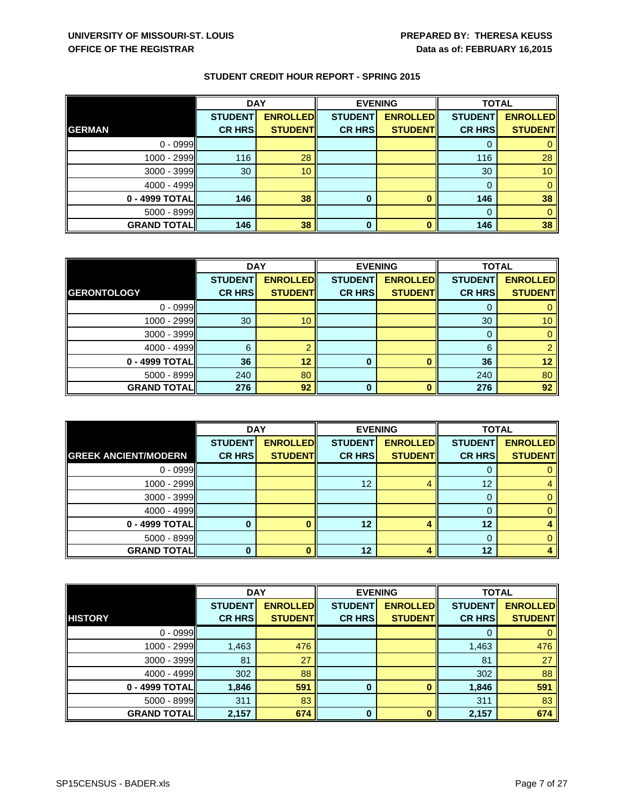|                    | <b>DAY</b>     |                 | <b>EVENING</b> |                 | <b>TOTAL</b>   |                 |
|--------------------|----------------|-----------------|----------------|-----------------|----------------|-----------------|
|                    | <b>STUDENT</b> | <b>ENROLLED</b> | <b>STUDENT</b> | <b>ENROLLED</b> | <b>STUDENT</b> | <b>ENROLLED</b> |
| <b>GERMAN</b>      | <b>CR HRS</b>  | <b>STUDENT</b>  | <b>CR HRS</b>  | <b>STUDENT</b>  | <b>CR HRS</b>  | <b>STUDENT</b>  |
| $0 - 0999$         |                |                 |                |                 | 0              |                 |
| 1000 - 2999        | 116            | 28              |                |                 | 116            | 28              |
| $3000 - 3999$      | 30             | 10              |                |                 | 30             | 10              |
| 4000 - 4999        |                |                 |                |                 | 0              |                 |
| 0 - 4999 TOTAL     | 146            | 38              | 0              |                 | 146            | 38              |
| $5000 - 8999$      |                |                 |                |                 | $\Omega$       |                 |
| <b>GRAND TOTAL</b> | 146            | 38              | 0              |                 | 146            | 38              |

|                    | <b>DAY</b>     |                 | <b>EVENING</b> |                 | <b>TOTAL</b>   |                 |
|--------------------|----------------|-----------------|----------------|-----------------|----------------|-----------------|
|                    | <b>STUDENT</b> | <b>ENROLLED</b> | <b>STUDENT</b> | <b>ENROLLED</b> | <b>STUDENT</b> | <b>ENROLLED</b> |
| <b>GERONTOLOGY</b> | <b>CR HRS</b>  | <b>STUDENT</b>  | <b>CR HRS</b>  | <b>STUDENT</b>  | <b>CR HRS</b>  | <b>STUDENT</b>  |
| $0 - 0999$         |                |                 |                |                 |                |                 |
| 1000 - 2999        | 30             | 10              |                |                 | 30             | 10 <sup>1</sup> |
| 3000 - 3999        |                |                 |                |                 | 0              |                 |
| 4000 - 4999        | 6              |                 |                |                 | 6              |                 |
| 0 - 4999 TOTAL     | 36             | 12              | 0              |                 | 36             | 12              |
| $5000 - 8999$      | 240            | 80              |                |                 | 240            | 80              |
| <b>GRAND TOTAL</b> | 276            | 92              | 0              |                 | 276            | 92              |

|                             | <b>DAY</b>     |                 | <b>EVENING</b> |                 | <b>TOTAL</b>    |                 |
|-----------------------------|----------------|-----------------|----------------|-----------------|-----------------|-----------------|
|                             | <b>STUDENT</b> | <b>ENROLLED</b> | <b>STUDENT</b> | <b>ENROLLED</b> | <b>STUDENT</b>  | <b>ENROLLED</b> |
| <b>GREEK ANCIENT/MODERN</b> | <b>CR HRS</b>  | <b>STUDENT</b>  | <b>CR HRS</b>  | <b>STUDENT</b>  | <b>CR HRS</b>   | <b>STUDENT</b>  |
| $0 - 0999$                  |                |                 |                |                 |                 |                 |
| 1000 - 2999                 |                |                 | 12             |                 | 12 <sup>°</sup> |                 |
| 3000 - 3999                 |                |                 |                |                 | 0               |                 |
| 4000 - 4999                 |                |                 |                |                 | ი               |                 |
| 0 - 4999 TOTAL              |                |                 | 12             |                 | 12              |                 |
| 5000 - 8999                 |                |                 |                |                 | 0               |                 |
| <b>GRAND TOTAL</b>          |                |                 | 12             |                 | 12              |                 |

|                    | <b>DAY</b>     |                 | <b>EVENING</b> |                 | <b>TOTAL</b>   |                 |
|--------------------|----------------|-----------------|----------------|-----------------|----------------|-----------------|
|                    | <b>STUDENT</b> | <b>ENROLLED</b> | <b>STUDENT</b> | <b>ENROLLED</b> | <b>STUDENT</b> | <b>ENROLLED</b> |
| <b>HISTORY</b>     | <b>CR HRS</b>  | <b>STUDENTI</b> | <b>CR HRS</b>  | <b>STUDENT</b>  | <b>CR HRS</b>  | <b>STUDENTI</b> |
| $0 - 0999$         |                |                 |                |                 | 0              |                 |
| $1000 - 2999$      | 1,463          | 476             |                |                 | 1,463          | 476             |
| 3000 - 3999        | 81             | 27              |                |                 | 81             | 27              |
| $4000 - 4999$      | 302            | 88              |                |                 | 302            | 88              |
| 0 - 4999 TOTAL     | 1,846          | 591             | $\bf{0}$       | $\Omega$        | 1,846          | 591             |
| $5000 - 8999$      | 311            | 83              |                |                 | 311            | 83              |
| <b>GRAND TOTAL</b> | 2,157          | 674             | $\bf{0}$       | $\Omega$        | 2,157          | 674             |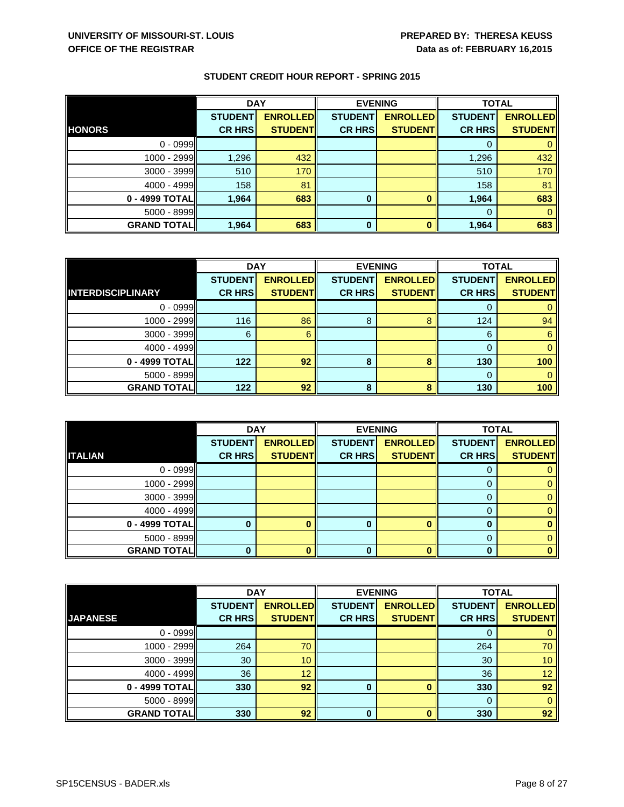|                    | <b>DAY</b>     |                 | <b>EVENING</b> |                 | <b>TOTAL</b>   |                 |
|--------------------|----------------|-----------------|----------------|-----------------|----------------|-----------------|
|                    | <b>STUDENT</b> | <b>ENROLLED</b> | <b>STUDENT</b> | <b>ENROLLED</b> | <b>STUDENT</b> | <b>ENROLLED</b> |
| <b>HONORS</b>      | <b>CR HRS</b>  | <b>STUDENT</b>  | <b>CR HRS</b>  | <b>STUDENTI</b> | <b>CR HRS</b>  | <b>STUDENT</b>  |
| $0 - 0999$         |                |                 |                |                 |                |                 |
| 1000 - 2999        | 1,296          | 432             |                |                 | 1,296          | 432             |
| 3000 - 3999        | 510            | 170             |                |                 | 510            | 170             |
| 4000 - 4999        | 158            | 81              |                |                 | 158            | 81              |
| 0 - 4999 TOTAL     | 1,964          | 683             | 0              |                 | 1,964          | 683             |
| $5000 - 8999$      |                |                 |                |                 | 0              |                 |
| <b>GRAND TOTAL</b> | 1,964          | 683             | 0              |                 | 1,964          | 683             |

|                          | <b>DAY</b>     |                 | <b>EVENING</b> |                 | <b>TOTAL</b>   |                 |
|--------------------------|----------------|-----------------|----------------|-----------------|----------------|-----------------|
|                          | <b>STUDENT</b> | <b>ENROLLED</b> | <b>STUDENT</b> | <b>ENROLLED</b> | <b>STUDENT</b> | <b>ENROLLED</b> |
| <b>INTERDISCIPLINARY</b> | <b>CR HRS</b>  | <b>STUDENT</b>  | <b>CR HRS</b>  | <b>STUDENT</b>  | <b>CR HRS</b>  | <b>STUDENT</b>  |
| $0 - 0999$               |                |                 |                |                 |                |                 |
| 1000 - 2999              | 116            | 86              | 8              |                 | 124            | 94              |
| $3000 - 3999$            | 6              | 6               |                |                 | 6              | 6               |
| $4000 - 4999$            |                |                 |                |                 | $\Omega$       | 0               |
| 0 - 4999 TOTAL           | 122            | 92              | 8              |                 | 130            | 100             |
| $5000 - 8999$            |                |                 |                |                 | 0              |                 |
| <b>GRAND TOTAL</b>       | 122            | 92              | 8              | я               | 130            | 100             |

|                    | <b>DAY</b>     |                 | <b>EVENING</b> |                 | <b>TOTAL</b>   |                 |
|--------------------|----------------|-----------------|----------------|-----------------|----------------|-----------------|
|                    | <b>STUDENT</b> | <b>ENROLLED</b> | <b>STUDENT</b> | <b>ENROLLED</b> | <b>STUDENT</b> | <b>ENROLLED</b> |
| <b>ITALIAN</b>     | <b>CR HRS</b>  | <b>STUDENT</b>  | <b>CR HRS</b>  | <b>STUDENT</b>  | <b>CR HRS</b>  | <b>STUDENT</b>  |
| $0 - 0999$         |                |                 |                |                 |                |                 |
| 1000 - 2999        |                |                 |                |                 |                |                 |
| $3000 - 3999$      |                |                 |                |                 | 0              |                 |
| 4000 - 4999        |                |                 |                |                 | 0              |                 |
| 0 - 4999 TOTAL     |                |                 |                |                 | 0              |                 |
| 5000 - 8999        |                |                 |                |                 | 0              |                 |
| <b>GRAND TOTAL</b> |                |                 |                |                 | ŋ              |                 |

|                    | <b>DAY</b>     |                 | <b>EVENING</b> |                 |                | <b>TOTAL</b>    |  |
|--------------------|----------------|-----------------|----------------|-----------------|----------------|-----------------|--|
|                    | <b>STUDENT</b> | <b>ENROLLED</b> | <b>STUDENT</b> | <b>ENROLLED</b> | <b>STUDENT</b> | <b>ENROLLED</b> |  |
| <b>JAPANESE</b>    | <b>CR HRS</b>  | <b>STUDENT</b>  | <b>CR HRS</b>  | <b>STUDENT</b>  | <b>CR HRS</b>  | <b>STUDENT</b>  |  |
| $0 - 0999$         |                |                 |                |                 | 0              |                 |  |
| $1000 - 2999$      | 264            | 70              |                |                 | 264            | 70              |  |
| 3000 - 3999        | 30             | 10              |                |                 | 30             | 10 <sup>°</sup> |  |
| 4000 - 4999        | 36             | 12              |                |                 | 36             | 12              |  |
| 0 - 4999 TOTAL     | 330            | 92              | 0              |                 | 330            | 92              |  |
| 5000 - 8999        |                |                 |                |                 | $\Omega$       |                 |  |
| <b>GRAND TOTAL</b> | 330            | 92              | $\bf{0}$       |                 | 330            | 92              |  |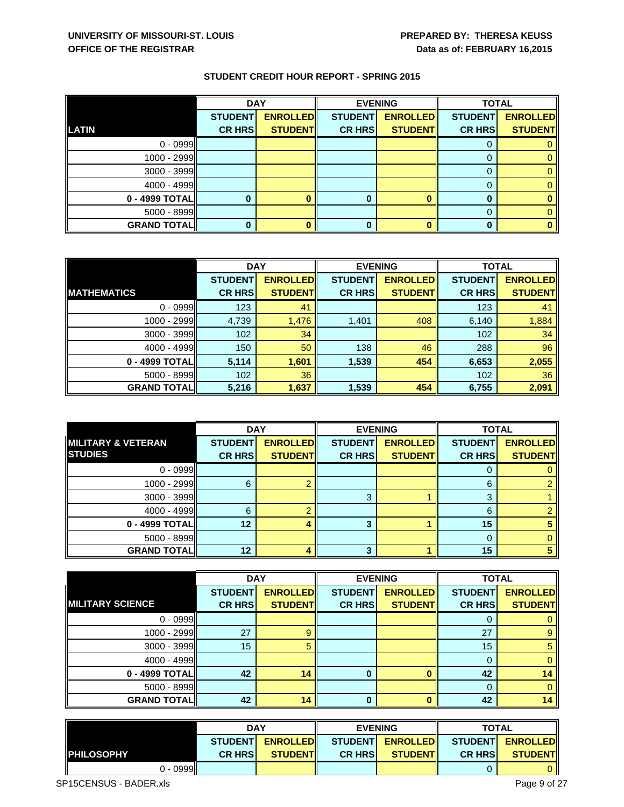|                    | <b>DAY</b>     |                 |                | <b>EVENING</b>  |                | <b>TOTAL</b>    |  |
|--------------------|----------------|-----------------|----------------|-----------------|----------------|-----------------|--|
|                    | <b>STUDENT</b> | <b>ENROLLED</b> | <b>STUDENT</b> | <b>ENROLLED</b> | <b>STUDENT</b> | <b>ENROLLED</b> |  |
| <b>LATIN</b>       | <b>CR HRS</b>  | <b>STUDENT</b>  | <b>CR HRS</b>  | <b>STUDENT</b>  | <b>CR HRS</b>  | <b>STUDENT</b>  |  |
| $0 - 0999$         |                |                 |                |                 |                |                 |  |
| 1000 - 2999        |                |                 |                |                 |                |                 |  |
| $3000 - 3999$      |                |                 |                |                 |                |                 |  |
| $4000 - 4999$      |                |                 |                |                 |                |                 |  |
| 0 - 4999 TOTAL     |                |                 |                |                 | 0              |                 |  |
| $5000 - 8999$      |                |                 |                |                 | 0              |                 |  |
| <b>GRAND TOTAL</b> |                |                 |                |                 | 0              |                 |  |

|                     | <b>DAY</b>     |                 | <b>EVENING</b> |                 | <b>TOTAL</b>   |                 |
|---------------------|----------------|-----------------|----------------|-----------------|----------------|-----------------|
|                     | <b>STUDENT</b> | <b>ENROLLED</b> | <b>STUDENT</b> | <b>ENROLLED</b> | <b>STUDENT</b> | <b>ENROLLED</b> |
| <b>IMATHEMATICS</b> | <b>CR HRS</b>  | <b>STUDENT</b>  | <b>CR HRS</b>  | <b>STUDENT</b>  | <b>CR HRS</b>  | <b>STUDENT</b>  |
| $0 - 0999$          | 123            | 41              |                |                 | 123            | 41              |
| 1000 - 2999         | 4,739          | 1,476           | 1,401          | 408             | 6,140          | 1,884           |
| $3000 - 3999$       | 102            | 34              |                |                 | 102            | 34              |
| 4000 - 4999         | 150            | 50              | 138            | 46              | 288            | 96              |
| 0 - 4999 TOTAL      | 5,114          | 1,601           | 1,539          | 454             | 6,653          | 2,055           |
| $5000 - 8999$       | 102            | 36              |                |                 | 102            | 36              |
| <b>GRAND TOTAL</b>  | 5,216          | 1,637           | 1,539          | 454             | 6,755          | 2,091           |

|                               | <b>DAY</b>     |                 | <b>EVENING</b> |                 | <b>TOTAL</b>   |                 |
|-------------------------------|----------------|-----------------|----------------|-----------------|----------------|-----------------|
| <b>MILITARY &amp; VETERAN</b> | <b>STUDENT</b> | <b>ENROLLED</b> | <b>STUDENT</b> | <b>ENROLLED</b> | <b>STUDENT</b> | <b>ENROLLED</b> |
| <b>STUDIES</b>                | <b>CR HRS</b>  | <b>STUDENT</b>  | <b>CR HRS</b>  | <b>STUDENT</b>  | <b>CR HRS</b>  | <b>STUDENT</b>  |
| $0 - 0999$                    |                |                 |                |                 |                |                 |
| 1000 - 2999                   | 6              |                 |                |                 | 6              |                 |
| 3000 - 3999                   |                |                 | 3              |                 | 3              |                 |
| $4000 - 4999$                 | 6              |                 |                |                 | 6              |                 |
| 0 - 4999 TOTAL                | 12             |                 |                |                 | 15             |                 |
| $5000 - 8999$                 |                |                 |                |                 |                |                 |
| <b>GRAND TOTAL</b>            | 12             |                 | 3              |                 | 15             |                 |

|                         | <b>DAY</b>     |                 | <b>EVENING</b> |                 | <b>TOTAL</b>   |                 |
|-------------------------|----------------|-----------------|----------------|-----------------|----------------|-----------------|
|                         | <b>STUDENT</b> | <b>ENROLLED</b> | <b>STUDENT</b> | <b>ENROLLED</b> | <b>STUDENT</b> | <b>ENROLLED</b> |
| <b>MILITARY SCIENCE</b> | <b>CR HRS</b>  | <b>STUDENT</b>  | <b>CR HRS</b>  | <b>STUDENT</b>  | <b>CR HRS</b>  | <b>STUDENT</b>  |
| $0 - 0999$              |                |                 |                |                 |                |                 |
| 1000 - 2999             | 27             | 9               |                |                 | 27             | 9               |
| 3000 - 3999             | 15             |                 |                |                 | 15             |                 |
| $4000 - 4999$           |                |                 |                |                 |                |                 |
| 0 - 4999 TOTAL          | 42             | 14              | 0              |                 | 42             | 14              |
| 5000 - 8999             |                |                 |                |                 | $\Omega$       |                 |
| <b>GRAND TOTAL</b>      | 42             | 14              | 0              |                 | 42             | 14              |

|                                     | <b>DAY</b>     |                 | <b>EVENING</b> |                  | <b>TOTAL</b>   |                         |
|-------------------------------------|----------------|-----------------|----------------|------------------|----------------|-------------------------|
|                                     | <b>STUDENT</b> | <b>ENROLLED</b> |                | STUDENT ENROLLED |                | STUDENT <b>ENROLLED</b> |
| <b>IPHILOSOPHY</b>                  | <b>CR HRSI</b> | <b>STUDENTI</b> | <b>CR HRSI</b> | <b>STUDENTI</b>  | <b>CR HRSI</b> | <b>STUDENT</b>          |
| $\mathcal{D}$ - 0999 $\blacksquare$ |                |                 |                |                  |                |                         |

SP15CENSUS - BADER.xls Page 9 of 27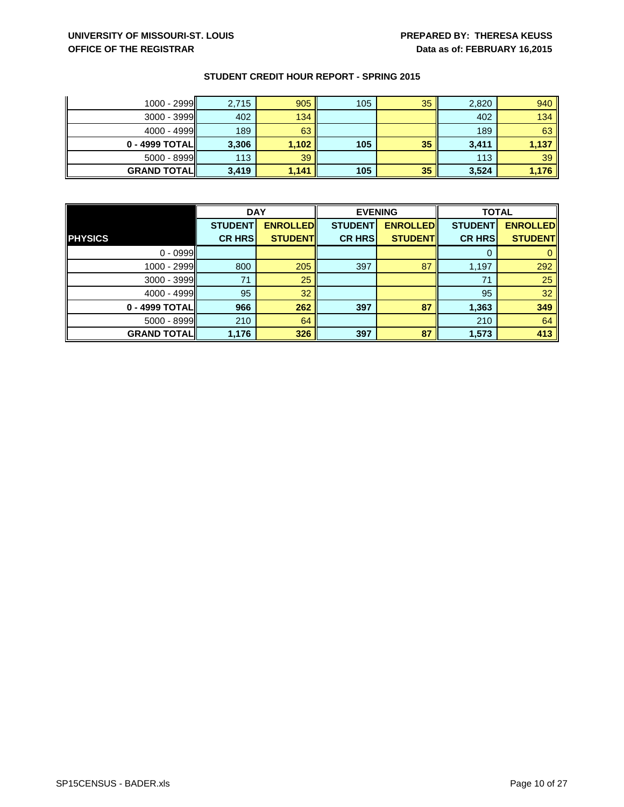# **UNIVERSITY OF MISSOURI-ST. LOUIS PREPARED BY: THERESA KEUSS OFFICE OF THE REGISTRAR DESCRIPTION OF A LOCAL CONSTRARY 16,2015**

| 1000 - 2999        | 2,715 | 905   | 105 | 35 | 2,820 | 940   |
|--------------------|-------|-------|-----|----|-------|-------|
| $3000 - 3999$      | 402   | 134   |     |    | 402   | 134   |
| $4000 - 4999$      | 189   | 63    |     |    | 189   | 63    |
| 0 - 4999 TOTAL     | 3,306 | 1,102 | 105 | 35 | 3,411 | 1,137 |
| $5000 - 8999$      | 113   | 39    |     |    | 113   | 39    |
| <b>GRAND TOTAL</b> | 3,419 | 1,141 | 105 | 35 | 3,524 | 1,176 |

|                    | <b>DAY</b>     |                 | <b>EVENING</b> |                 | <b>TOTAL</b>   |                 |
|--------------------|----------------|-----------------|----------------|-----------------|----------------|-----------------|
|                    | <b>STUDENT</b> | <b>ENROLLED</b> | <b>STUDENT</b> | <b>ENROLLED</b> | <b>STUDENT</b> | <b>ENROLLED</b> |
| <b>PHYSICS</b>     | <b>CR HRS</b>  | <b>STUDENT</b>  | <b>CR HRS</b>  | <b>STUDENT</b>  | <b>CR HRS</b>  | <b>STUDENT</b>  |
| $0 - 0999$         |                |                 |                |                 |                |                 |
| 1000 - 2999        | 800            | 205             | 397            | 87              | 1,197          | 292             |
| 3000 - 3999        | 71             | 25              |                |                 | 71             | 25              |
| $4000 - 4999$      | 95             | 32              |                |                 | 95             | 32              |
| 0 - 4999 TOTAL     | 966            | 262             | 397            | 87              | 1,363          | 349             |
| 5000 - 8999        | 210            | 64              |                |                 | 210            | 64              |
| <b>GRAND TOTAL</b> | 1,176          | 326             | 397            | 87              | 1,573          | 413             |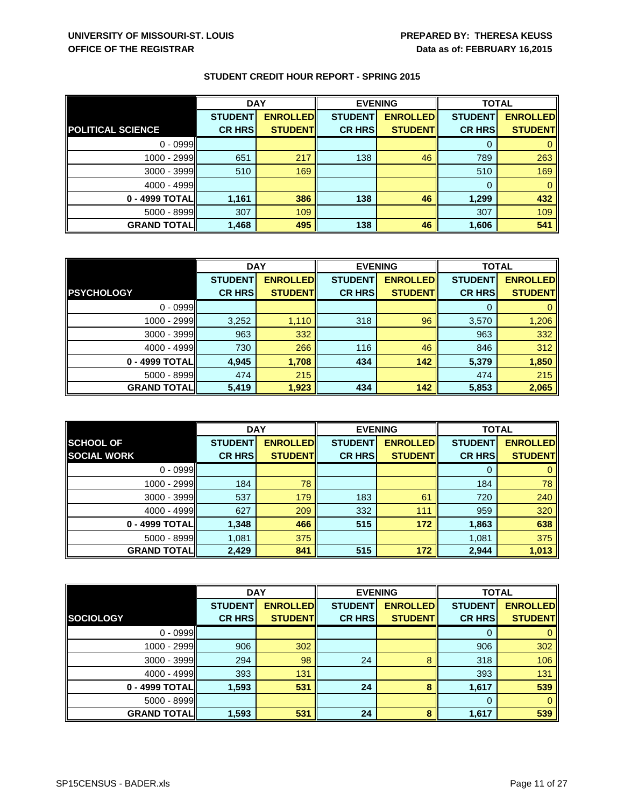|                          | <b>DAY</b>     |                 | <b>EVENING</b> |                 | <b>TOTAL</b>   |                 |
|--------------------------|----------------|-----------------|----------------|-----------------|----------------|-----------------|
|                          | <b>STUDENT</b> | <b>ENROLLED</b> | <b>STUDENT</b> | <b>ENROLLED</b> | <b>STUDENT</b> | <b>ENROLLED</b> |
| <b>POLITICAL SCIENCE</b> | <b>CR HRS</b>  | <b>STUDENT</b>  | <b>CR HRS</b>  | <b>STUDENT</b>  | <b>CR HRS</b>  | <b>STUDENT</b>  |
| $0 - 0999$               |                |                 |                |                 |                |                 |
| 1000 - 2999              | 651            | 217             | 138            | 46              | 789            | 263             |
| $3000 - 3999$            | 510            | 169             |                |                 | 510            | 169             |
| 4000 - 4999              |                |                 |                |                 | 0              |                 |
| 0 - 4999 TOTAL           | 1,161          | 386             | 138            | 46              | 1,299          | 432             |
| 5000 - 8999              | 307            | 109             |                |                 | 307            | 109             |
| <b>GRAND TOTALI</b>      | 1,468          | 495             | 138            | 46              | 1,606          | 541             |

|                    | <b>DAY</b>     |                 | <b>EVENING</b> |                 | <b>TOTAL</b>   |                 |
|--------------------|----------------|-----------------|----------------|-----------------|----------------|-----------------|
|                    | <b>STUDENT</b> | <b>ENROLLED</b> | <b>STUDENT</b> | <b>ENROLLED</b> | <b>STUDENT</b> | <b>ENROLLED</b> |
| <b>PSYCHOLOGY</b>  | <b>CR HRS</b>  | <b>STUDENT</b>  | <b>CR HRS</b>  | <b>STUDENT</b>  | <b>CR HRS</b>  | <b>STUDENT</b>  |
| $0 - 0999$         |                |                 |                |                 |                |                 |
| 1000 - 2999        | 3,252          | 1,110           | 318            | 96              | 3,570          | 1,206           |
| $3000 - 3999$      | 963            | 332             |                |                 | 963            | 332             |
| 4000 - 4999        | 730            | 266             | 116            | 46              | 846            | 312             |
| 0 - 4999 TOTAL     | 4,945          | 1,708           | 434            | 142             | 5,379          | 1,850           |
| $5000 - 8999$      | 474            | 215             |                |                 | 474            | 215             |
| <b>GRAND TOTAL</b> | 5,419          | 1,923           | 434            | 142             | 5,853          | 2,065           |

|                    | <b>DAY</b>     |                 | <b>EVENING</b> |                 | <b>TOTAL</b>   |                 |
|--------------------|----------------|-----------------|----------------|-----------------|----------------|-----------------|
| <b>SCHOOL OF</b>   | <b>STUDENT</b> | <b>ENROLLED</b> | <b>STUDENT</b> | <b>ENROLLED</b> | <b>STUDENT</b> | <b>ENROLLED</b> |
| <b>SOCIAL WORK</b> | <b>CR HRS</b>  | <b>STUDENT</b>  | <b>CR HRS</b>  | <b>STUDENT</b>  | <b>CR HRS</b>  | <b>STUDENT</b>  |
| $0 - 0999$         |                |                 |                |                 | 0              |                 |
| 1000 - 2999        | 184            | 78              |                |                 | 184            | 78              |
| 3000 - 3999        | 537            | 179             | 183            | 61              | 720            | 240             |
| $4000 - 4999$      | 627            | 209             | 332            | 111             | 959            | 320             |
| 0 - 4999 TOTAL     | 1,348          | 466             | 515            | 172             | 1,863          | 638             |
| $5000 - 8999$      | 1,081          | 375             |                |                 | 1,081          | 375             |
| <b>GRAND TOTAL</b> | 2,429          | 841             | 515            | 172             | 2,944          | 1,013           |

|                    | <b>DAY</b>     |                 |                | <b>EVENING</b>  |                | <b>TOTAL</b>    |  |
|--------------------|----------------|-----------------|----------------|-----------------|----------------|-----------------|--|
|                    | <b>STUDENT</b> | <b>ENROLLED</b> | <b>STUDENT</b> | <b>ENROLLED</b> | <b>STUDENT</b> | <b>ENROLLED</b> |  |
| <b>SOCIOLOGY</b>   | <b>CR HRS</b>  | <b>STUDENT</b>  | <b>CR HRS</b>  | <b>STUDENT</b>  | <b>CR HRS</b>  | <b>STUDENT</b>  |  |
| $0 - 0999$         |                |                 |                |                 | 0              |                 |  |
| $1000 - 2999$      | 906            | 302             |                |                 | 906            | 302             |  |
| $3000 - 3999$      | 294            | 98              | 24             | 8               | 318            | 106             |  |
| $4000 - 4999$      | 393            | 131             |                |                 | 393            | 131             |  |
| 0 - 4999 TOTAL     | 1,593          | 531             | 24             | 8               | 1,617          | 539             |  |
| 5000 - 8999        |                |                 |                |                 | 0              |                 |  |
| <b>GRAND TOTAL</b> | 1,593          | 531             | 24             | 8               | 1,617          | 539             |  |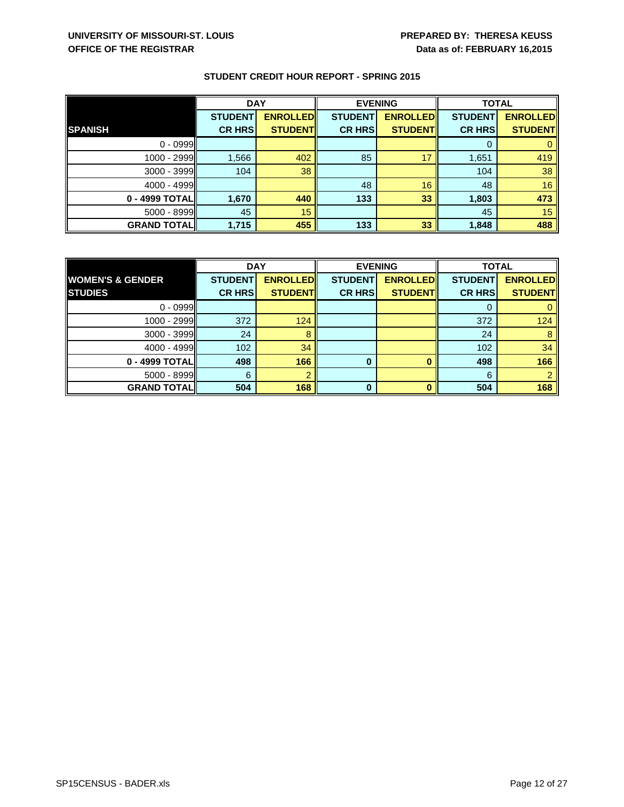|                    | <b>DAY</b>     |                 | <b>EVENING</b> |                 | <b>TOTAL</b>   |                 |
|--------------------|----------------|-----------------|----------------|-----------------|----------------|-----------------|
|                    | <b>STUDENT</b> | <b>ENROLLED</b> | <b>STUDENT</b> | <b>ENROLLED</b> | <b>STUDENT</b> | <b>ENROLLED</b> |
| <b>SPANISH</b>     | <b>CR HRS</b>  | <b>STUDENT</b>  | <b>CR HRS</b>  | <b>STUDENT</b>  | <b>CR HRS</b>  | <b>STUDENT</b>  |
| $0 - 0999$         |                |                 |                |                 |                |                 |
| 1000 - 2999        | 1,566          | 402             | 85             | 17              | 1,651          | 419             |
| $3000 - 3999$      | 104            | 38              |                |                 | 104            | 38              |
| 4000 - 4999        |                |                 | 48             | 16              | 48             | 16              |
| 0 - 4999 TOTAL     | 1,670          | 440             | 133            | 33              | 1,803          | 473             |
| 5000 - 8999        | 45             | 15              |                |                 | 45             | 15              |
| <b>GRAND TOTAL</b> | 1,715          | 455             | 133            | 33              | 1,848          | 488             |

|                             | <b>DAY</b>     |                 | <b>EVENING</b> |                 | <b>TOTAL</b>   |                 |
|-----------------------------|----------------|-----------------|----------------|-----------------|----------------|-----------------|
| <b>WOMEN'S &amp; GENDER</b> | <b>STUDENT</b> | <b>ENROLLED</b> | <b>STUDENT</b> | <b>ENROLLED</b> | <b>STUDENT</b> | <b>ENROLLED</b> |
| <b>STUDIES</b>              | <b>CR HRS</b>  | <b>STUDENT</b>  | <b>CR HRS</b>  | <b>STUDENTI</b> | <b>CR HRS</b>  | <b>STUDENT</b>  |
| $0 - 0999$                  |                |                 |                |                 |                |                 |
| $1000 - 2999$               | 372            | 124             |                |                 | 372            | 124             |
| 3000 - 3999                 | 24             |                 |                |                 | 24             |                 |
| 4000 - 4999                 | 102            | 34              |                |                 | 102            | 34              |
| 0 - 4999 TOTAL              | 498            | 166             | 0              |                 | 498            | 166             |
| $5000 - 8999$               | 6              |                 |                |                 | 6              |                 |
| <b>GRAND TOTALI</b>         | 504            | 168             | $\bf{0}$       |                 | 504            | 168             |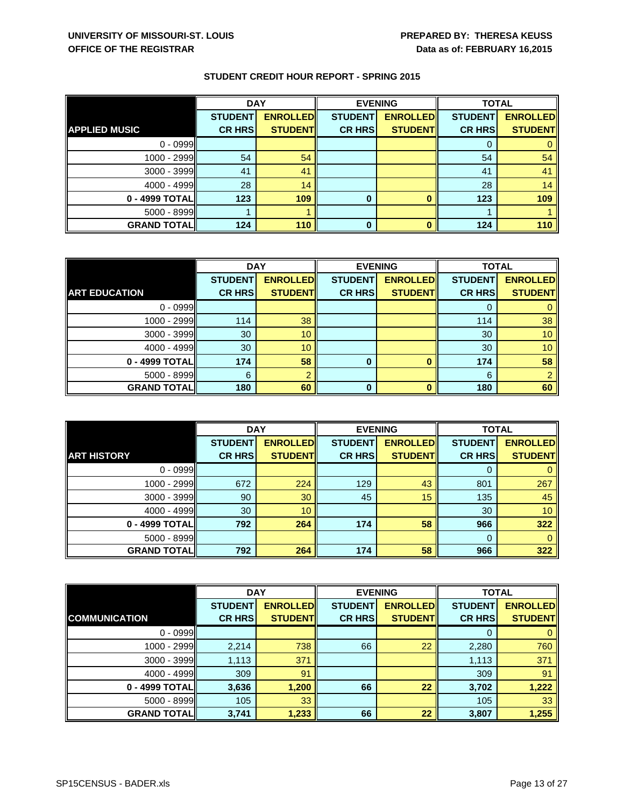|                      | <b>DAY</b>     |                 | <b>EVENING</b> |                 | <b>TOTAL</b>   |                 |
|----------------------|----------------|-----------------|----------------|-----------------|----------------|-----------------|
|                      | <b>STUDENT</b> | <b>ENROLLED</b> | <b>STUDENT</b> | <b>ENROLLED</b> | <b>STUDENT</b> | <b>ENROLLED</b> |
| <b>APPLIED MUSIC</b> | <b>CR HRS</b>  | <b>STUDENT</b>  | <b>CR HRS</b>  | <b>STUDENT</b>  | <b>CR HRS</b>  | <b>STUDENT</b>  |
| $0 - 0999$           |                |                 |                |                 | 0              |                 |
| 1000 - 2999          | 54             | 54              |                |                 | 54             | 54              |
| 3000 - 3999          | 41             | 41              |                |                 | 41             | 41              |
| $4000 - 4999$        | 28             | 14              |                |                 | 28             | 14              |
| 0 - 4999 TOTAL       | 123            | 109             | $\bf{0}$       |                 | 123            | 109             |
| 5000 - 8999          |                |                 |                |                 |                |                 |
| <b>GRAND TOTAL</b>   | 124            | 110             |                |                 | 124            | 110             |

|                      | <b>DAY</b>     |                 | <b>EVENING</b> |                 | <b>TOTAL</b>   |                 |
|----------------------|----------------|-----------------|----------------|-----------------|----------------|-----------------|
|                      | <b>STUDENT</b> | <b>ENROLLED</b> | <b>STUDENT</b> | <b>ENROLLED</b> | <b>STUDENT</b> | <b>ENROLLED</b> |
| <b>ART EDUCATION</b> | <b>CR HRS</b>  | <b>STUDENT</b>  | <b>CR HRS</b>  | <b>STUDENT</b>  | <b>CR HRS</b>  | <b>STUDENT</b>  |
| $0 - 0999$           |                |                 |                |                 |                |                 |
| 1000 - 2999          | 114            | 38              |                |                 | 114            | 38              |
| 3000 - 3999          | 30             | 10              |                |                 | 30             | 10              |
| 4000 - 4999          | 30             | 10              |                |                 | 30             | 10              |
| 0 - 4999 TOTAL       | 174            | 58              | 0              |                 | 174            | 58              |
| $5000 - 8999$        | 6              |                 |                |                 | 6              |                 |
| <b>GRAND TOTAL</b>   | 180            | 60              | 0              |                 | 180            | 60              |

|                    | <b>DAY</b>     |                 | <b>EVENING</b> |                 | <b>TOTAL</b>   |                 |
|--------------------|----------------|-----------------|----------------|-----------------|----------------|-----------------|
|                    | <b>STUDENT</b> | <b>ENROLLED</b> | <b>STUDENT</b> | <b>ENROLLED</b> | <b>STUDENT</b> | <b>ENROLLED</b> |
| <b>ART HISTORY</b> | <b>CR HRS</b>  | <b>STUDENT</b>  | <b>CR HRS</b>  | <b>STUDENT</b>  | <b>CR HRS</b>  | <b>STUDENT</b>  |
| $0 - 0999$         |                |                 |                |                 | 0              |                 |
| 1000 - 2999        | 672            | 224             | 129            | 43              | 801            | 267             |
| 3000 - 3999        | 90             | 30              | 45             | 15              | 135            | 45              |
| $4000 - 4999$      | 30             | 10              |                |                 | 30             | 10 <sup>1</sup> |
| 0 - 4999 TOTAL     | 792            | 264             | 174            | 58              | 966            | 322             |
| 5000 - 8999        |                |                 |                |                 | 0              |                 |
| <b>GRAND TOTAL</b> | 792            | 264             | 174            | 58              | 966            | 322             |

|                      | <b>DAY</b>     |                 | <b>EVENING</b> |                 | <b>TOTAL</b>   |                 |
|----------------------|----------------|-----------------|----------------|-----------------|----------------|-----------------|
|                      | <b>STUDENT</b> | <b>ENROLLED</b> | <b>STUDENT</b> | <b>ENROLLED</b> | <b>STUDENT</b> | <b>ENROLLED</b> |
| <b>COMMUNICATION</b> | <b>CR HRS</b>  | <b>STUDENT</b>  | <b>CR HRS</b>  | <b>STUDENT</b>  | <b>CR HRS</b>  | <b>STUDENT</b>  |
| $0 - 0999$           |                |                 |                |                 | 0              |                 |
| $1000 - 2999$        | 2,214          | 738             | 66             | 22              | 2,280          | 760             |
| $3000 - 3999$        | 1,113          | 371             |                |                 | 1,113          | 371             |
| $4000 - 4999$        | 309            | 91              |                |                 | 309            | 91              |
| 0 - 4999 TOTAL       | 3,636          | 1,200           | 66             | 22              | 3,702          | 1,222           |
| 5000 - 8999          | 105            | 33              |                |                 | 105            | 33              |
| <b>GRAND TOTAL</b>   | 3,741          | 1,233           | 66             | 22              | 3,807          | 1,255           |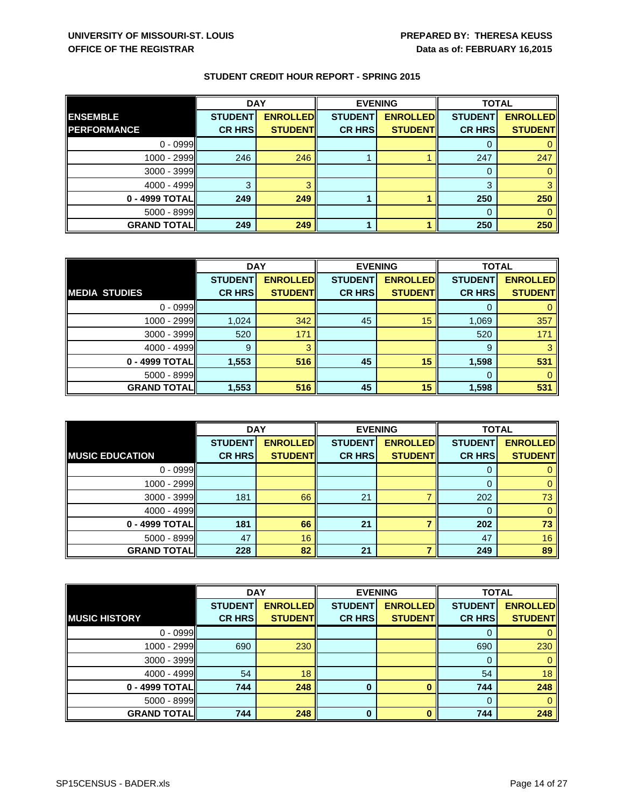|                     | <b>DAY</b>     |                 | <b>EVENING</b> |                 | <b>TOTAL</b>   |                 |
|---------------------|----------------|-----------------|----------------|-----------------|----------------|-----------------|
| <b>ENSEMBLE</b>     | <b>STUDENT</b> | <b>ENROLLED</b> | <b>STUDENT</b> | <b>ENROLLED</b> | <b>STUDENT</b> | <b>ENROLLED</b> |
| <b>PERFORMANCE</b>  | <b>CR HRS</b>  | <b>STUDENT</b>  | <b>CR HRS</b>  | <b>STUDENTI</b> | <b>CR HRS</b>  | <b>STUDENT</b>  |
| $0 - 0999$          |                |                 |                |                 |                |                 |
| 1000 - 2999         | 246            | 246             |                |                 | 247            | 247             |
| $3000 - 3999$       |                |                 |                |                 |                |                 |
| 4000 - 4999         | 3              |                 |                |                 | 3              |                 |
| 0 - 4999 TOTAL      | 249            | 249             |                |                 | 250            | 250             |
| $5000 - 8999$       |                |                 |                |                 | 0              |                 |
| <b>GRAND TOTALI</b> | 249            | 249             |                |                 | 250            | 250             |

|                      | <b>DAY</b>     |                 | <b>EVENING</b> |                 | <b>TOTAL</b>   |                 |
|----------------------|----------------|-----------------|----------------|-----------------|----------------|-----------------|
|                      | <b>STUDENT</b> | <b>ENROLLED</b> | <b>STUDENT</b> | <b>ENROLLED</b> | <b>STUDENT</b> | <b>ENROLLED</b> |
| <b>MEDIA STUDIES</b> | <b>CR HRS</b>  | <b>STUDENT</b>  | <b>CR HRS</b>  | <b>STUDENT</b>  | <b>CR HRS</b>  | <b>STUDENT</b>  |
| $0 - 0999$           |                |                 |                |                 |                |                 |
| 1000 - 2999          | 1,024          | 342             | 45             | 15              | 1,069          | 357             |
| $3000 - 3999$        | 520            | 171             |                |                 | 520            | 171             |
| $4000 - 4999$        | 9              | з               |                |                 | 9              | 3               |
| 0 - 4999 TOTAL       | 1,553          | 516             | 45             | 15              | 1,598          | 531             |
| $5000 - 8999$        |                |                 |                |                 | 0              |                 |
| <b>GRAND TOTAL</b>   | 1,553          | 516             | 45             | 15              | 1,598          | 531             |

|                        | <b>DAY</b>     |                 | <b>EVENING</b> |                 | <b>TOTAL</b>   |                 |
|------------------------|----------------|-----------------|----------------|-----------------|----------------|-----------------|
|                        | <b>STUDENT</b> | <b>ENROLLED</b> | <b>STUDENT</b> | <b>ENROLLED</b> | <b>STUDENT</b> | <b>ENROLLED</b> |
| <b>MUSIC EDUCATION</b> | <b>CR HRS</b>  | <b>STUDENT</b>  | <b>CR HRS</b>  | <b>STUDENT</b>  | <b>CR HRS</b>  | <b>STUDENT</b>  |
| $0 - 0999$             |                |                 |                |                 | 0              |                 |
| $1000 - 2999$          |                |                 |                |                 | 0              |                 |
| 3000 - 3999            | 181            | 66              | 21             |                 | 202            | 73              |
| $4000 - 4999$          |                |                 |                |                 | 0              |                 |
| 0 - 4999 TOTAL         | 181            | 66              | 21             |                 | 202            | 73              |
| 5000 - 8999            | 47             | 16              |                |                 | 47             | 16              |
| <b>GRAND TOTAL</b>     | 228            | 82              | 21             |                 | 249            | 89              |

|                      | <b>DAY</b>     |                 |                | <b>EVENING</b>  | <b>TOTAL</b>   |                 |
|----------------------|----------------|-----------------|----------------|-----------------|----------------|-----------------|
|                      | <b>STUDENT</b> | <b>ENROLLED</b> | <b>STUDENT</b> | <b>ENROLLED</b> | <b>STUDENT</b> | <b>ENROLLED</b> |
| <b>MUSIC HISTORY</b> | <b>CR HRS</b>  | <b>STUDENT</b>  | <b>CR HRS</b>  | <b>STUDENT</b>  | <b>CR HRS</b>  | <b>STUDENTI</b> |
| $0 - 0999$           |                |                 |                |                 | 0              |                 |
| 1000 - 2999          | 690            | 230             |                |                 | 690            | 230             |
| 3000 - 3999          |                |                 |                |                 | 0              |                 |
| 4000 - 4999          | 54             | 18              |                |                 | 54             | 18              |
| 0 - 4999 TOTAL       | 744            | 248             |                |                 | 744            | 248             |
| 5000 - 8999          |                |                 |                |                 | $\Omega$       |                 |
| <b>GRAND TOTAL</b>   | 744            | 248             | $\bf{0}$       |                 | 744            | 248             |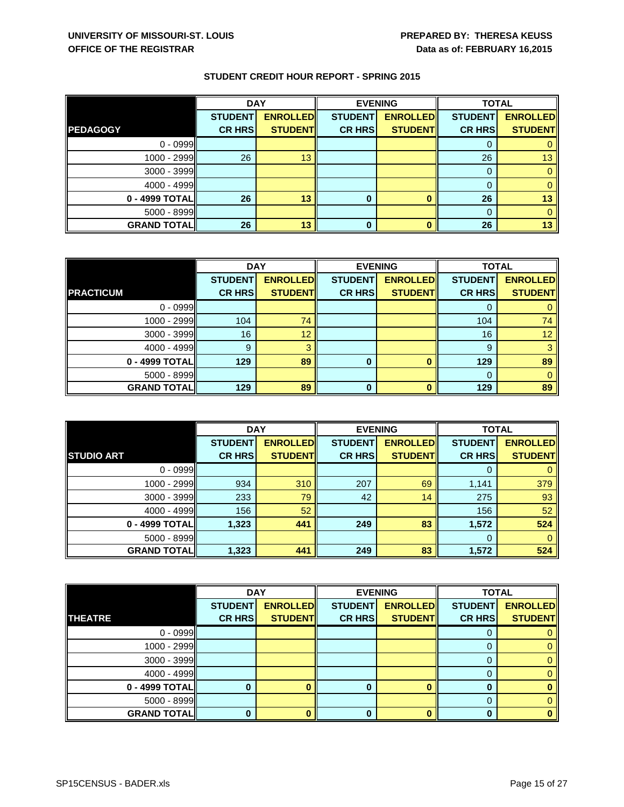|                    | <b>DAY</b>     |                 | <b>EVENING</b> |                 | <b>TOTAL</b>   |                 |
|--------------------|----------------|-----------------|----------------|-----------------|----------------|-----------------|
|                    | <b>STUDENT</b> | <b>ENROLLED</b> | <b>STUDENT</b> | <b>ENROLLED</b> | <b>STUDENT</b> | <b>ENROLLED</b> |
| <b>PEDAGOGY</b>    | <b>CR HRS</b>  | <b>STUDENT</b>  | <b>CR HRS</b>  | <b>STUDENT</b>  | <b>CR HRS</b>  | <b>STUDENT</b>  |
| $0 - 0999$         |                |                 |                |                 | 0              |                 |
| 1000 - 2999        | 26             | 13              |                |                 | 26             | 13              |
| $3000 - 3999$      |                |                 |                |                 | 0              |                 |
| $4000 - 4999$      |                |                 |                |                 | 0              |                 |
| 0 - 4999 TOTAL     | 26             | 13              | $\bf{0}$       |                 | 26             | 13              |
| $5000 - 8999$      |                |                 |                |                 | 0              |                 |
| <b>GRAND TOTAL</b> | 26             | 13              | 0              |                 | 26             | 13              |

|                    | <b>DAY</b>     |                 | <b>EVENING</b> |                 | <b>TOTAL</b>   |                 |
|--------------------|----------------|-----------------|----------------|-----------------|----------------|-----------------|
|                    | <b>STUDENT</b> | <b>ENROLLED</b> | <b>STUDENT</b> | <b>ENROLLED</b> | <b>STUDENT</b> | <b>ENROLLED</b> |
| <b>PRACTICUM</b>   | <b>CR HRS</b>  | <b>STUDENT</b>  | <b>CR HRS</b>  | <b>STUDENT</b>  | <b>CR HRS</b>  | <b>STUDENT</b>  |
| $0 - 0999$         |                |                 |                |                 |                |                 |
| $1000 - 2999$      | 104            | 74              |                |                 | 104            | 74              |
| $3000 - 3999$      | 16             | 12              |                |                 | 16             | 12              |
| $4000 - 4999$      | 9              | 3               |                |                 | 9              | 3               |
| 0 - 4999 TOTAL     | 129            | 89              | 0              |                 | 129            | 89              |
| $5000 - 8999$      |                |                 |                |                 | 0              |                 |
| <b>GRAND TOTAL</b> | 129            | 89              | 0              |                 | 129            | 89              |

|                    | <b>DAY</b>     |                 | <b>EVENING</b> |                 | <b>TOTAL</b>   |                 |
|--------------------|----------------|-----------------|----------------|-----------------|----------------|-----------------|
|                    | <b>STUDENT</b> | <b>ENROLLED</b> | <b>STUDENT</b> | <b>ENROLLED</b> | <b>STUDENT</b> | <b>ENROLLED</b> |
| <b>STUDIO ART</b>  | <b>CR HRS</b>  | <b>STUDENT</b>  | <b>CR HRS</b>  | <b>STUDENT</b>  | <b>CR HRS</b>  | <b>STUDENT</b>  |
| $0 - 0999$         |                |                 |                |                 | 0              |                 |
| 1000 - 2999        | 934            | 310             | 207            | 69              | 1,141          | 379             |
| 3000 - 3999        | 233            | 79              | 42             | 14              | 275            | 93              |
| $4000 - 4999$      | 156            | 52              |                |                 | 156            | 52              |
| 0 - 4999 TOTAL     | 1,323          | 441             | 249            | 83              | 1,572          | 524             |
| 5000 - 8999        |                |                 |                |                 | 0              |                 |
| <b>GRAND TOTAL</b> | 1,323          | 441             | 249            | 83              | 1,572          | 524             |

|                    | <b>DAY</b>     |                 |                | <b>EVENING</b>  | <b>TOTAL</b>   |                 |
|--------------------|----------------|-----------------|----------------|-----------------|----------------|-----------------|
|                    | <b>STUDENT</b> | <b>ENROLLED</b> | <b>STUDENT</b> | <b>ENROLLED</b> | <b>STUDENT</b> | <b>ENROLLED</b> |
| <b>THEATRE</b>     | <b>CR HRS</b>  | <b>STUDENTI</b> | <b>CR HRS</b>  | <b>STUDENT</b>  | <b>CR HRS</b>  | <b>STUDENT</b>  |
| $0 - 0999$         |                |                 |                |                 | 0              |                 |
| $1000 - 2999$      |                |                 |                |                 | 0              |                 |
| $3000 - 3999$      |                |                 |                |                 | 0              |                 |
| $4000 - 4999$      |                |                 |                |                 | 0              |                 |
| 0 - 4999 TOTAL     |                |                 |                |                 | 0              |                 |
| $5000 - 8999$      |                |                 |                |                 | $\Omega$       |                 |
| <b>GRAND TOTAL</b> |                |                 | 0              |                 | 0              |                 |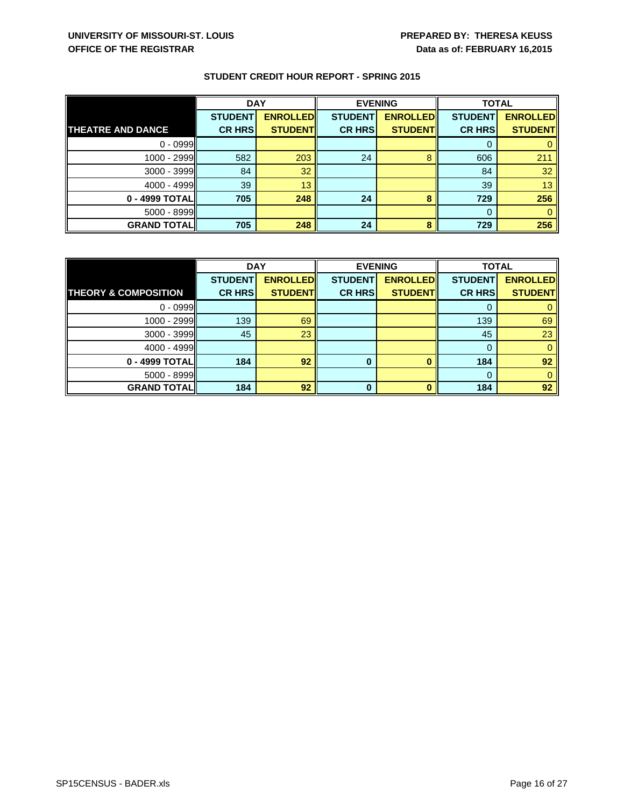|                          | <b>DAY</b>     |                 | <b>EVENING</b> |                 | <b>TOTAL</b>   |                 |
|--------------------------|----------------|-----------------|----------------|-----------------|----------------|-----------------|
|                          | <b>STUDENT</b> | <b>ENROLLED</b> | <b>STUDENT</b> | <b>ENROLLED</b> | <b>STUDENT</b> | <b>ENROLLED</b> |
| <b>THEATRE AND DANCE</b> | <b>CR HRS</b>  | <b>STUDENT</b>  | <b>CR HRS</b>  | <b>STUDENT</b>  | <b>CR HRS</b>  | <b>STUDENT</b>  |
| $0 - 0999$               |                |                 |                |                 |                |                 |
| 1000 - 2999              | 582            | 203             | 24             | 8               | 606            | 211             |
| $3000 - 3999$            | 84             | 32              |                |                 | 84             | 32              |
| 4000 - 4999              | 39             | 13              |                |                 | 39             | 13              |
| 0 - 4999 TOTALI          | 705            | 248             | 24             | 8               | 729            | 256             |
| $5000 - 8999$            |                |                 |                |                 | 0              |                 |
| <b>GRAND TOTAL</b>       | 705            | 248             | 24             | 8               | 729            | 256             |

|                                 | <b>DAY</b>     |                 | <b>EVENING</b> |                 | <b>TOTAL</b>   |                 |
|---------------------------------|----------------|-----------------|----------------|-----------------|----------------|-----------------|
|                                 | <b>STUDENT</b> | <b>ENROLLED</b> | <b>STUDENT</b> | <b>ENROLLED</b> | <b>STUDENT</b> | <b>ENROLLED</b> |
| <b>THEORY &amp; COMPOSITION</b> | <b>CR HRS</b>  | <b>STUDENT</b>  | <b>CR HRS</b>  | <b>STUDENT</b>  | <b>CR HRS</b>  | <b>STUDENT</b>  |
| $0 - 0999$                      |                |                 |                |                 |                |                 |
| 1000 - 2999                     | 139            | 69              |                |                 | 139            | 69              |
| $3000 - 3999$                   | 45             | 23              |                |                 | 45             | 23              |
| $4000 - 4999$                   |                |                 |                |                 | $\Omega$       |                 |
| 0 - 4999 TOTAL                  | 184            | 92              | 0              |                 | 184            | 92              |
| 5000 - 8999                     |                |                 |                |                 |                |                 |
| <b>GRAND TOTALI</b>             | 184            | 92              | 0              |                 | 184            | 92              |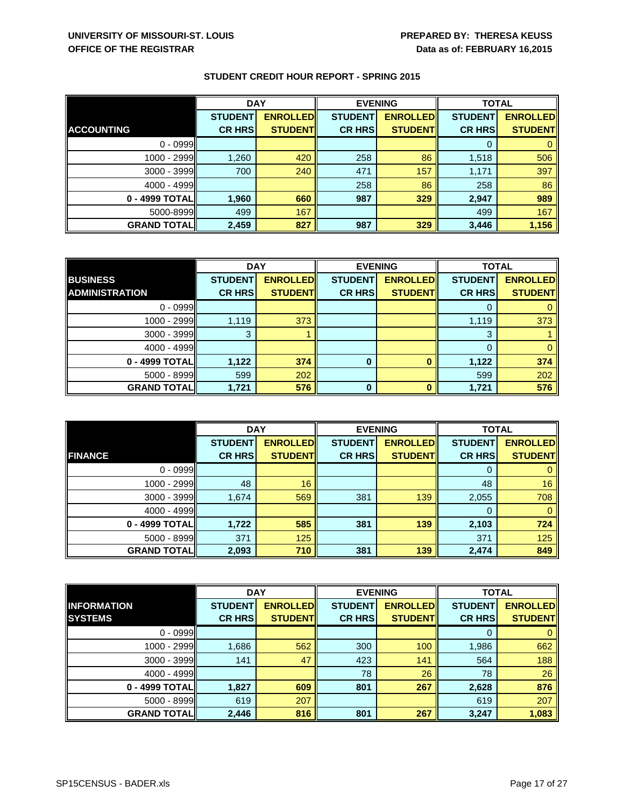|                    | <b>DAY</b>     |                 | <b>EVENING</b> |                 | <b>TOTAL</b>   |                 |
|--------------------|----------------|-----------------|----------------|-----------------|----------------|-----------------|
|                    | <b>STUDENT</b> | <b>ENROLLED</b> | <b>STUDENT</b> | <b>ENROLLED</b> | <b>STUDENT</b> | <b>ENROLLED</b> |
| <b>ACCOUNTING</b>  | <b>CR HRS</b>  | <b>STUDENT</b>  | <b>CR HRS</b>  | <b>STUDENTI</b> | <b>CR HRS</b>  | <b>STUDENT</b>  |
| $0 - 0999$         |                |                 |                |                 |                |                 |
| 1000 - 2999        | 1,260          | 420             | 258            | 86              | 1,518          | 506             |
| $3000 - 3999$      | 700            | 240             | 471            | 157             | 1,171          | 397             |
| 4000 - 4999        |                |                 | 258            | 86              | 258            | 86              |
| 0 - 4999 TOTAL     | 1,960          | 660             | 987            | 329             | 2,947          | 989             |
| 5000-8999          | 499            | 167             |                |                 | 499            | 167             |
| <b>GRAND TOTAL</b> | 2,459          | 827             | 987            | 329             | 3,446          | 1,156           |

|                       | <b>DAY</b>     |                 | <b>EVENING</b> |                 | <b>TOTAL</b>   |                 |
|-----------------------|----------------|-----------------|----------------|-----------------|----------------|-----------------|
| <b>BUSINESS</b>       | <b>STUDENT</b> | <b>ENROLLED</b> | <b>STUDENT</b> | <b>ENROLLED</b> | <b>STUDENT</b> | <b>ENROLLED</b> |
| <b>ADMINISTRATION</b> | <b>CR HRS</b>  | <b>STUDENT</b>  | <b>CR HRS</b>  | <b>STUDENT</b>  | <b>CR HRS</b>  | <b>STUDENT</b>  |
| $0 - 0999$            |                |                 |                |                 | 0              |                 |
| $1000 - 2999$         | 1,119          | 373             |                |                 | 1,119          | 373             |
| $3000 - 3999$         | 3              |                 |                |                 | 3              |                 |
| $4000 - 4999$         |                |                 |                |                 | $\Omega$       |                 |
| 0 - 4999 TOTAL        | 1,122          | 374             | 0              | O               | 1,122          | 374             |
| 5000 - 8999           | 599            | 202             |                |                 | 599            | 202             |
| <b>GRAND TOTALI</b>   | 1,721          | 576             | $\bf{0}$       | $\Omega$        | 1,721          | 576             |

|                    | <b>DAY</b>     |                 | <b>EVENING</b> |                 | <b>TOTAL</b>   |                 |
|--------------------|----------------|-----------------|----------------|-----------------|----------------|-----------------|
|                    | <b>STUDENT</b> | <b>ENROLLED</b> | <b>STUDENT</b> | <b>ENROLLED</b> | <b>STUDENT</b> | <b>ENROLLED</b> |
| <b>FINANCE</b>     | <b>CR HRS</b>  | <b>STUDENT</b>  | <b>CR HRS</b>  | <b>STUDENT</b>  | <b>CR HRS</b>  | <b>STUDENT</b>  |
| $0 - 0999$         |                |                 |                |                 | 0              |                 |
| 1000 - 2999        | 48             | 16              |                |                 | 48             | 16              |
| 3000 - 3999        | 1,674          | 569             | 381            | 139             | 2,055          | 708             |
| 4000 - 4999        |                |                 |                |                 | 0              |                 |
| 0 - 4999 TOTAL     | 1,722          | 585             | 381            | 139             | 2,103          | 724             |
| $5000 - 8999$      | 371            | 125             |                |                 | 371            | 125             |
| <b>GRAND TOTAL</b> | 2,093          | 710             | 381            | 139             | 2,474          | 849             |

|                    | <b>DAY</b>     |                 | <b>EVENING</b> |                 | <b>TOTAL</b>   |                 |
|--------------------|----------------|-----------------|----------------|-----------------|----------------|-----------------|
| <b>INFORMATION</b> | <b>STUDENT</b> | <b>ENROLLED</b> | <b>STUDENT</b> | <b>ENROLLED</b> | <b>STUDENT</b> | <b>ENROLLED</b> |
| <b>SYSTEMS</b>     | <b>CR HRS</b>  | <b>STUDENT</b>  | <b>CR HRS</b>  | <b>STUDENTI</b> | <b>CR HRS</b>  | <b>STUDENT</b>  |
| $0 - 0999$         |                |                 |                |                 |                |                 |
| $1000 - 2999$      | 1,686          | 562             | 300            | 100             | 1,986          | 662             |
| 3000 - 3999        | 141            | 47              | 423            | 141             | 564            | 188             |
| $4000 - 4999$      |                |                 | 78             | 26              | 78             | 26              |
| 0 - 4999 TOTAL     | 1,827          | 609             | 801            | 267             | 2,628          | 876             |
| $5000 - 8999$      | 619            | 207             |                |                 | 619            | 207             |
| <b>GRAND TOTAL</b> | 2,446          | 816             | 801            | 267             | 3,247          | 1,083           |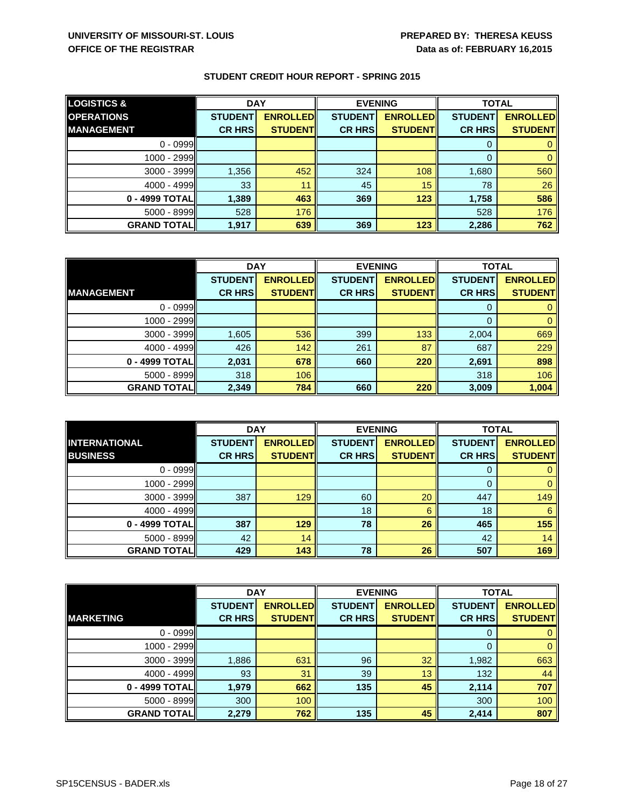| <b>LOGISTICS &amp;</b> | <b>DAY</b>     |                 | <b>EVENING</b> |                 | <b>TOTAL</b>   |                 |
|------------------------|----------------|-----------------|----------------|-----------------|----------------|-----------------|
| <b>OPERATIONS</b>      | <b>STUDENT</b> | <b>ENROLLED</b> | <b>STUDENT</b> | <b>ENROLLED</b> | <b>STUDENT</b> | <b>ENROLLED</b> |
| <b>IMANAGEMENT</b>     | <b>CR HRS</b>  | <b>STUDENT</b>  | <b>CR HRS</b>  | <b>STUDENT</b>  | <b>CR HRS</b>  | <b>STUDENT</b>  |
| $0 - 0999$             |                |                 |                |                 | 0              |                 |
| $1000 - 2999$          |                |                 |                |                 | 0              |                 |
| 3000 - 3999            | 1,356          | 452             | 324            | 108             | 1,680          | 560             |
| $4000 - 4999$          | 33             | 11              | 45             | 15              | 78             | 26              |
| 0 - 4999 TOTAL         | 1,389          | 463             | 369            | 123             | 1,758          | 586             |
| $5000 - 8999$          | 528            | 176             |                |                 | 528            | 176             |
| <b>GRAND TOTALI</b>    | 1,917          | 639             | 369            | 123             | 2,286          | 762             |

|                    | <b>DAY</b>     |                 | <b>EVENING</b> |                 | <b>TOTAL</b>   |                 |
|--------------------|----------------|-----------------|----------------|-----------------|----------------|-----------------|
|                    | <b>STUDENT</b> | <b>ENROLLED</b> | <b>STUDENT</b> | <b>ENROLLED</b> | <b>STUDENT</b> | <b>ENROLLED</b> |
| <b>MANAGEMENT</b>  | <b>CR HRS</b>  | <b>STUDENT</b>  | <b>CR HRS</b>  | <b>STUDENT</b>  | <b>CR HRS</b>  | <b>STUDENT</b>  |
| $0 - 0999$         |                |                 |                |                 | $\Omega$       |                 |
| 1000 - 2999        |                |                 |                |                 | 0              |                 |
| $3000 - 3999$      | 1,605          | 536             | 399            | 133             | 2,004          | 669             |
| 4000 - 4999        | 426            | 142             | 261            | 87              | 687            | 229             |
| 0 - 4999 TOTAL     | 2,031          | 678             | 660            | 220             | 2,691          | 898             |
| 5000 - 8999        | 318            | 106             |                |                 | 318            | 106             |
| <b>GRAND TOTAL</b> | 2,349          | 784             | 660            | 220             | 3,009          | 1,004           |

|                      | <b>DAY</b>     |                 | <b>EVENING</b> |                 | <b>TOTAL</b>   |                 |
|----------------------|----------------|-----------------|----------------|-----------------|----------------|-----------------|
| <b>INTERNATIONAL</b> | <b>STUDENT</b> | <b>ENROLLED</b> | <b>STUDENT</b> | <b>ENROLLED</b> | <b>STUDENT</b> | <b>ENROLLED</b> |
| <b>BUSINESS</b>      | <b>CR HRS</b>  | <b>STUDENT</b>  | <b>CR HRS</b>  | <b>STUDENT</b>  | <b>CR HRS</b>  | <b>STUDENT</b>  |
| $0 - 0999$           |                |                 |                |                 | O              |                 |
| 1000 - 2999          |                |                 |                |                 | 0              |                 |
| 3000 - 3999          | 387            | 129             | 60             | 20              | 447            | 149             |
| $4000 - 4999$        |                |                 | 18             | 6               | 18             | 6               |
| 0 - 4999 TOTAL       | 387            | 129             | 78             | 26              | 465            | 155             |
| $5000 - 8999$        | 42             | 14              |                |                 | 42             | 14              |
| <b>GRAND TOTAL</b>   | 429            | 143             | 78             | 26              | 507            | 169             |

|                    | <b>DAY</b>     |                 | <b>EVENING</b> |                 | <b>TOTAL</b>   |                 |
|--------------------|----------------|-----------------|----------------|-----------------|----------------|-----------------|
|                    | <b>STUDENT</b> | <b>ENROLLED</b> | <b>STUDENT</b> | <b>ENROLLED</b> | <b>STUDENT</b> | <b>ENROLLED</b> |
| <b>MARKETING</b>   | <b>CR HRS</b>  | <b>STUDENT</b>  | <b>CR HRS</b>  | <b>STUDENT</b>  | <b>CR HRS</b>  | <b>STUDENT</b>  |
| $0 - 0999$         |                |                 |                |                 | 0              |                 |
| $1000 - 2999$      |                |                 |                |                 | $\mathbf{0}$   |                 |
| $3000 - 3999$      | 1,886          | 631             | 96             | 32              | 1,982          | 663             |
| $4000 - 4999$      | 93             | 31              | 39             | 13              | 132            | 44              |
| 0 - 4999 TOTAL     | 1,979          | 662             | 135            | 45              | 2,114          | 707             |
| 5000 - 8999        | 300            | 100             |                |                 | 300            | 100             |
| <b>GRAND TOTAL</b> | 2,279          | 762             | 135            | 45              | 2,414          | 807             |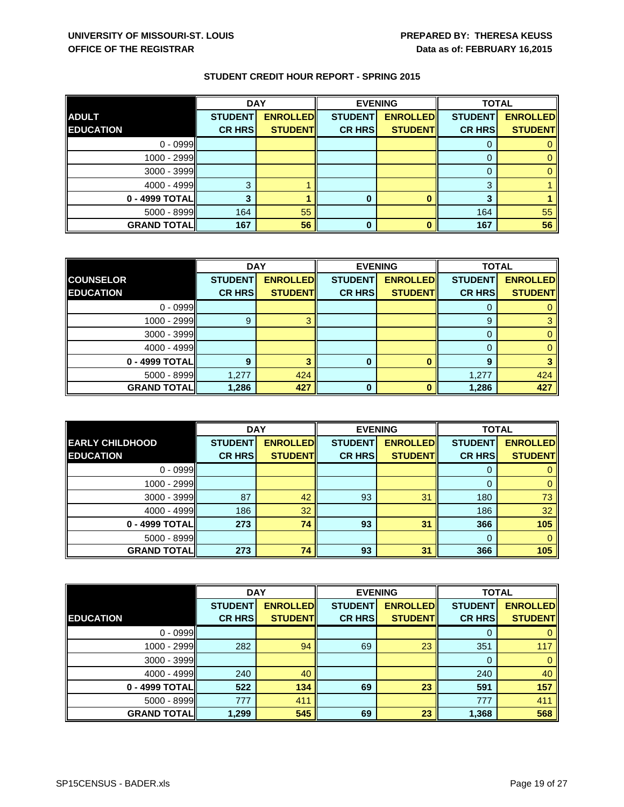|                    | <b>DAY</b>     |                 |                | <b>EVENING</b>  | <b>TOTAL</b>   |                 |
|--------------------|----------------|-----------------|----------------|-----------------|----------------|-----------------|
| <b>ADULT</b>       | <b>STUDENT</b> | <b>ENROLLED</b> | <b>STUDENT</b> | <b>ENROLLED</b> | <b>STUDENT</b> | <b>ENROLLED</b> |
| <b>EDUCATION</b>   | <b>CR HRS</b>  | <b>STUDENT</b>  | <b>CR HRS</b>  | <b>STUDENT</b>  | <b>CR HRS</b>  | <b>STUDENT</b>  |
| $0 - 0999$         |                |                 |                |                 | 0              |                 |
| 1000 - 2999        |                |                 |                |                 |                |                 |
| $3000 - 3999$      |                |                 |                |                 | 0              |                 |
| $4000 - 4999$      | 3              |                 |                |                 | 3              |                 |
| 0 - 4999 TOTAL     |                |                 |                |                 | ≏              |                 |
| 5000 - 8999        | 164            | 55              |                |                 | 164            | 55              |
| <b>GRAND TOTAL</b> | 167            | 56              | 0              |                 | 167            | 56              |

|                     | <b>DAY</b>     |                 | <b>EVENING</b> |                 | <b>TOTAL</b>   |                 |
|---------------------|----------------|-----------------|----------------|-----------------|----------------|-----------------|
| <b>COUNSELOR</b>    | <b>STUDENT</b> | <b>ENROLLED</b> | <b>STUDENT</b> | <b>ENROLLED</b> | <b>STUDENT</b> | <b>ENROLLED</b> |
| <b>EDUCATION</b>    | <b>CR HRS</b>  | <b>STUDENT</b>  | <b>CR HRS</b>  | <b>STUDENT</b>  | <b>CR HRS</b>  | <b>STUDENT</b>  |
| $0 - 0999$          |                |                 |                |                 |                |                 |
| 1000 - 2999         | 9              |                 |                |                 | $\mathbf{9}$   |                 |
| 3000 - 3999         |                |                 |                |                 | 0              |                 |
| 4000 - 4999         |                |                 |                |                 | $\Omega$       |                 |
| $0 - 4999$ TOTAL    | 9              |                 | 0              |                 | 9              |                 |
| $5000 - 8999$       | 1,277          | 424             |                |                 | 1,277          | 424             |
| <b>GRAND TOTALI</b> | 1,286          | 427             | 0              |                 | 1,286          | 427             |

|                        | <b>DAY</b>     |                 | <b>EVENING</b> |                 | <b>TOTAL</b>   |                 |
|------------------------|----------------|-----------------|----------------|-----------------|----------------|-----------------|
| <b>EARLY CHILDHOOD</b> | <b>STUDENT</b> | <b>ENROLLED</b> | <b>STUDENT</b> | <b>ENROLLED</b> | <b>STUDENT</b> | <b>ENROLLED</b> |
| <b>EDUCATION</b>       | <b>CR HRS</b>  | <b>STUDENT</b>  | <b>CR HRS</b>  | <b>STUDENT</b>  | <b>CR HRS</b>  | <b>STUDENT</b>  |
| $0 - 0999$             |                |                 |                |                 |                |                 |
| $1000 - 2999$          |                |                 |                |                 | 0              |                 |
| 3000 - 3999            | 87             | 42              | 93             | 31              | 180            | 73              |
| 4000 - 4999            | 186            | 32              |                |                 | 186            | 32              |
| 0 - 4999 TOTAL         | 273            | 74              | 93             | 31              | 366            | 105             |
| 5000 - 8999            |                |                 |                |                 | 0              |                 |
| <b>GRAND TOTAL</b>     | 273            | 74              | 93             | 31              | 366            | 105             |

|                    | <b>DAY</b>     |                 | <b>EVENING</b> |                 | <b>TOTAL</b>   |                 |
|--------------------|----------------|-----------------|----------------|-----------------|----------------|-----------------|
|                    | <b>STUDENT</b> | <b>ENROLLED</b> | <b>STUDENT</b> | <b>ENROLLED</b> | <b>STUDENT</b> | <b>ENROLLED</b> |
| <b>EDUCATION</b>   | <b>CR HRS</b>  | <b>STUDENT</b>  | <b>CR HRS</b>  | <b>STUDENT</b>  | <b>CR HRS</b>  | <b>STUDENTI</b> |
| $0 - 0999$         |                |                 |                |                 | 0              |                 |
| $1000 - 2999$      | 282            | 94              | 69             | 23              | 351            | 117             |
| 3000 - 3999        |                |                 |                |                 | $\Omega$       |                 |
| $4000 - 4999$      | 240            | 40              |                |                 | 240            | 40              |
| 0 - 4999 TOTAL     | 522            | 134             | 69             | 23              | 591            | 157             |
| $5000 - 8999$      | 777            | 411             |                |                 | 777            | 411             |
| <b>GRAND TOTAL</b> | 1,299          | 545             | 69             | 23              | 1,368          | 568             |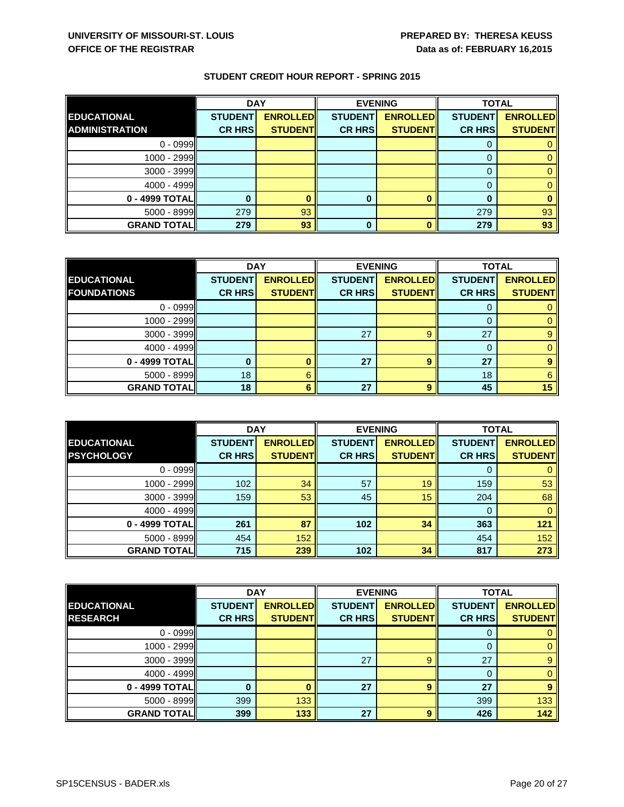|                       | <b>DAY</b>     |                 | <b>EVENING</b> |                 | <b>TOTAL</b>   |                 |
|-----------------------|----------------|-----------------|----------------|-----------------|----------------|-----------------|
| <b>EDUCATIONAL</b>    | <b>STUDENT</b> | <b>ENROLLED</b> | <b>STUDENT</b> | <b>ENROLLED</b> | <b>STUDENT</b> | <b>ENROLLED</b> |
| <b>ADMINISTRATION</b> | <b>CR HRS</b>  | <b>STUDENT</b>  | <b>CR HRS</b>  | <b>STUDENT</b>  | <b>CR HRS</b>  | <b>STUDENT</b>  |
| $0 - 0999$            |                |                 |                |                 | U              |                 |
| $1000 - 2999$         |                |                 |                |                 |                |                 |
| 3000 - 3999           |                |                 |                |                 | $\Omega$       |                 |
| $4000 - 4999$         |                |                 |                |                 |                |                 |
| 0 - 4999 TOTAL        |                |                 |                |                 |                |                 |
| $5000 - 8999$         | 279            | 93              |                |                 | 279            | 93              |
| <b>GRAND TOTAL</b>    | 279            | 93              | 0              |                 | 279            | 93              |

|                    | <b>DAY</b>     |                 | <b>EVENING</b> |                 | <b>TOTAL</b>   |                 |
|--------------------|----------------|-----------------|----------------|-----------------|----------------|-----------------|
| <b>EDUCATIONAL</b> | <b>STUDENT</b> | <b>ENROLLED</b> | <b>STUDENT</b> | <b>ENROLLED</b> | <b>STUDENT</b> | <b>ENROLLED</b> |
| <b>FOUNDATIONS</b> | <b>CR HRS</b>  | <b>STUDENT</b>  | <b>CR HRS</b>  | <b>STUDENT</b>  | <b>CR HRS</b>  | <b>STUDENT</b>  |
| $0 - 0999$         |                |                 |                |                 |                |                 |
| $1000 - 2999$      |                |                 |                |                 | $\Omega$       |                 |
| 3000 - 3999        |                |                 | 27             |                 | 27             |                 |
| 4000 - 4999        |                |                 |                |                 | $\Omega$       |                 |
| 0 - 4999 TOTAL     |                |                 | 27             |                 | 27             |                 |
| $5000 - 8999$      | 18             | 6               |                |                 | 18             | 6               |
| <b>GRAND TOTAL</b> | 18             |                 | 27             | q               | 45             | 15              |

|                                         | <b>DAY</b>                      |                                   | <b>EVENING</b>                  |                                   | <b>TOTAL</b>                    |                                   |
|-----------------------------------------|---------------------------------|-----------------------------------|---------------------------------|-----------------------------------|---------------------------------|-----------------------------------|
| <b>EDUCATIONAL</b><br><b>PSYCHOLOGY</b> | <b>STUDENT</b><br><b>CR HRS</b> | <b>ENROLLED</b><br><b>STUDENT</b> | <b>STUDENT</b><br><b>CR HRS</b> | <b>ENROLLED</b><br><b>STUDENT</b> | <b>STUDENT</b><br><b>CR HRS</b> | <b>ENROLLED</b><br><b>STUDENT</b> |
|                                         |                                 |                                   |                                 |                                   |                                 |                                   |
| $0 - 0999$                              |                                 |                                   |                                 |                                   | 0                               |                                   |
| $1000 - 2999$                           | 102                             | 34                                | 57                              | 19                                | 159                             | 53                                |
| 3000 - 3999                             | 159                             | 53                                | 45                              | 15                                | 204                             | 68                                |
| 4000 - 4999                             |                                 |                                   |                                 |                                   | 0                               |                                   |
| 0 - 4999 TOTAL                          | 261                             | 87                                | 102                             | 34                                | 363                             | 121                               |
| $5000 - 8999$                           | 454                             | 152                               |                                 |                                   | 454                             | 152                               |
| <b>GRAND TOTAL</b>                      | 715                             | 239                               | 102                             | 34                                | 817                             | 273                               |

|                    | <b>DAY</b>     |                 | <b>EVENING</b> |                 | <b>TOTAL</b>   |                 |
|--------------------|----------------|-----------------|----------------|-----------------|----------------|-----------------|
| <b>EDUCATIONAL</b> | <b>STUDENT</b> | <b>ENROLLED</b> | <b>STUDENT</b> | <b>ENROLLED</b> | <b>STUDENT</b> | <b>ENROLLED</b> |
| <b>RESEARCH</b>    | <b>CR HRS</b>  | <b>STUDENT</b>  | <b>CR HRS</b>  | <b>STUDENT</b>  | <b>CR HRS</b>  | <b>STUDENT</b>  |
| $0 - 0999$         |                |                 |                |                 | 0              |                 |
| $1000 - 2999$      |                |                 |                |                 | 0              |                 |
| 3000 - 3999        |                |                 | 27             | 9               | 27             |                 |
| $4000 - 4999$      |                |                 |                |                 | 0              |                 |
| 0 - 4999 TOTAL     |                |                 | 27             | 9               | 27             | 9               |
| 5000 - 8999        | 399            | 133             |                |                 | 399            | 133             |
| <b>GRAND TOTAL</b> | 399            | 133             | 27             | 9               | 426            | 142             |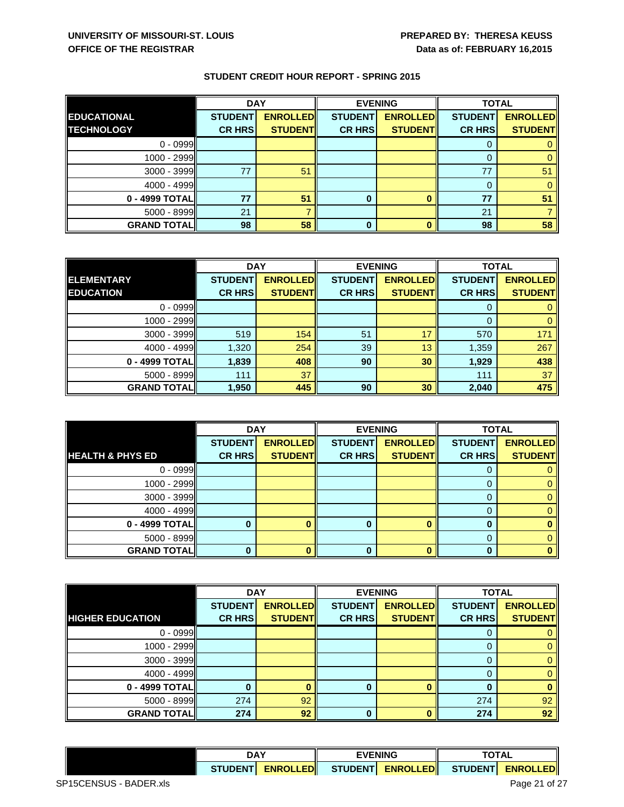|                     | <b>DAY</b>     |                 |                | <b>EVENING</b>  | <b>TOTAL</b>   |                 |
|---------------------|----------------|-----------------|----------------|-----------------|----------------|-----------------|
| <b>EDUCATIONAL</b>  | <b>STUDENT</b> | <b>ENROLLED</b> | <b>STUDENT</b> | <b>ENROLLED</b> | <b>STUDENT</b> | <b>ENROLLED</b> |
| <b>TECHNOLOGY</b>   | <b>CR HRS</b>  | <b>STUDENT</b>  | <b>CR HRS</b>  | <b>STUDENT</b>  | <b>CR HRS</b>  | <b>STUDENT</b>  |
| $0 - 0999$          |                |                 |                |                 | 0              |                 |
| 1000 - 2999         |                |                 |                |                 |                |                 |
| $3000 - 3999$       | 77             | 5 <sup>1</sup>  |                |                 | 77             | 51              |
| $4000 - 4999$       |                |                 |                |                 | 0              |                 |
| 0 - 4999 TOTAL      | 77             | 51              |                |                 | 77             | 51              |
| 5000 - 8999         | 21             |                 |                |                 | 21             |                 |
| <b>GRAND TOTALI</b> | 98             | 58              | 0              |                 | 98             | 58              |

|                    | <b>DAY</b>     |                 | <b>EVENING</b> |                 | <b>TOTAL</b>   |                 |
|--------------------|----------------|-----------------|----------------|-----------------|----------------|-----------------|
| <b>ELEMENTARY</b>  | <b>STUDENT</b> | <b>ENROLLED</b> | <b>STUDENT</b> | <b>ENROLLED</b> | <b>STUDENT</b> | <b>ENROLLED</b> |
| <b>EDUCATION</b>   | <b>CR HRS</b>  | <b>STUDENT</b>  | <b>CR HRS</b>  | <b>STUDENT</b>  | <b>CR HRS</b>  | <b>STUDENT</b>  |
| $0 - 0999$         |                |                 |                |                 | 0              |                 |
| 1000 - 2999        |                |                 |                |                 | 0              | 0               |
| $3000 - 3999$      | 519            | 154             | 51             | 17              | 570            | 171             |
| $4000 - 4999$      | 1,320          | 254             | 39             | 13              | 1,359          | 267             |
| 0 - 4999 TOTAL     | 1,839          | 408             | 90             | 30              | 1,929          | 438             |
| $5000 - 8999$      | 111            | 37              |                |                 | 111            | 37              |
| <b>GRAND TOTAL</b> | 1,950          | 445             | 90             | 30              | 2,040          | 475             |

|                             | <b>DAY</b>     |                 | <b>EVENING</b> |                 | <b>TOTAL</b>   |                 |
|-----------------------------|----------------|-----------------|----------------|-----------------|----------------|-----------------|
|                             | <b>STUDENT</b> | <b>ENROLLED</b> | <b>STUDENT</b> | <b>ENROLLED</b> | <b>STUDENT</b> | <b>ENROLLED</b> |
| <b>HEALTH &amp; PHYS ED</b> | <b>CR HRS</b>  | <b>STUDENT</b>  | <b>CR HRS</b>  | <b>STUDENT</b>  | <b>CR HRS</b>  | <b>STUDENT</b>  |
| $0 - 0999$                  |                |                 |                |                 | 0              |                 |
| 1000 - 2999                 |                |                 |                |                 | 0              |                 |
| 3000 - 3999                 |                |                 |                |                 | 0              |                 |
| $4000 - 4999$               |                |                 |                |                 | 0              |                 |
| 0 - 4999 TOTAL              |                |                 | O              |                 | 0              |                 |
| $5000 - 8999$               |                |                 |                |                 | 0              |                 |
| <b>GRAND TOTAL</b>          |                |                 |                |                 | n              |                 |

|                         | <b>DAY</b>     |                 | <b>EVENING</b> |                  | <b>TOTAL</b>   |                 |
|-------------------------|----------------|-----------------|----------------|------------------|----------------|-----------------|
|                         | <b>STUDENT</b> | <b>ENROLLED</b> | <b>STUDENT</b> | <b>ENROLLEDI</b> | <b>STUDENT</b> | <b>ENROLLED</b> |
| <b>HIGHER EDUCATION</b> | <b>CR HRS</b>  | <b>STUDENT</b>  | <b>CR HRS</b>  | <b>STUDENT</b>   | <b>CR HRS</b>  | <b>STUDENT</b>  |
| $0 - 0999$              |                |                 |                |                  |                |                 |
| $1000 - 2999$           |                |                 |                |                  |                |                 |
| $3000 - 3999$           |                |                 |                |                  |                |                 |
| $4000 - 4999$           |                |                 |                |                  |                |                 |
| 0 - 4999 TOTALI         |                |                 |                |                  |                |                 |
| 5000 - 8999             | 274            | 92              |                |                  | 274            | 92              |
| <b>GRAND TOTAL</b>      | 274            | 92              | 0              |                  | 274            | 92              |

|               | <b>DAY</b>       |                | <b>VENING</b>   |                                    | TAT AI<br>I AL |  |
|---------------|------------------|----------------|-----------------|------------------------------------|----------------|--|
| <b>TUDEN1</b> | <b>ENROLLEDI</b> | <b>STUDENT</b> | <b>ENROLLED</b> | <b>STUDENT</b><br><b>ENROLLEDI</b> |                |  |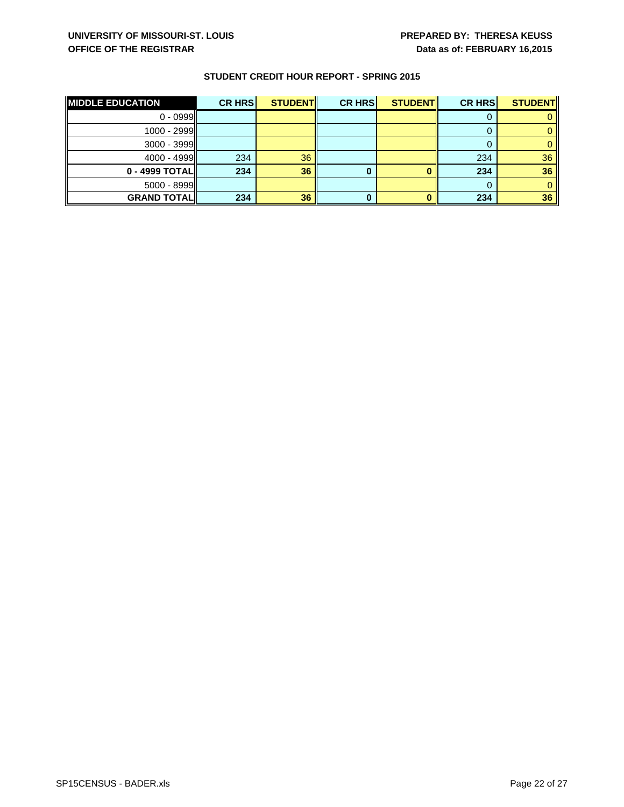| <b>MIDDLE EDUCATION</b> | <b>CR HRS</b> | <b>STUDENT</b> | <b>CR HRS</b> | <b>STUDENT</b> | <b>CR HRS</b> | <b>STUDENT</b>  |
|-------------------------|---------------|----------------|---------------|----------------|---------------|-----------------|
| $0 - 0999$              |               |                |               |                |               |                 |
| $1000 - 2999$           |               |                |               |                |               |                 |
| $3000 - 3999$           |               |                |               |                |               |                 |
| $4000 - 4999$           | 234           | 36             |               |                | 234           | 36 <sup>°</sup> |
| 0 - 4999 TOTALI         | 234           | 36             |               |                | 234           | 36              |
| $5000 - 8999$           |               |                |               |                |               |                 |
| <b>GRAND TOTALI</b>     | 234           | 36             |               |                | 234           | 36              |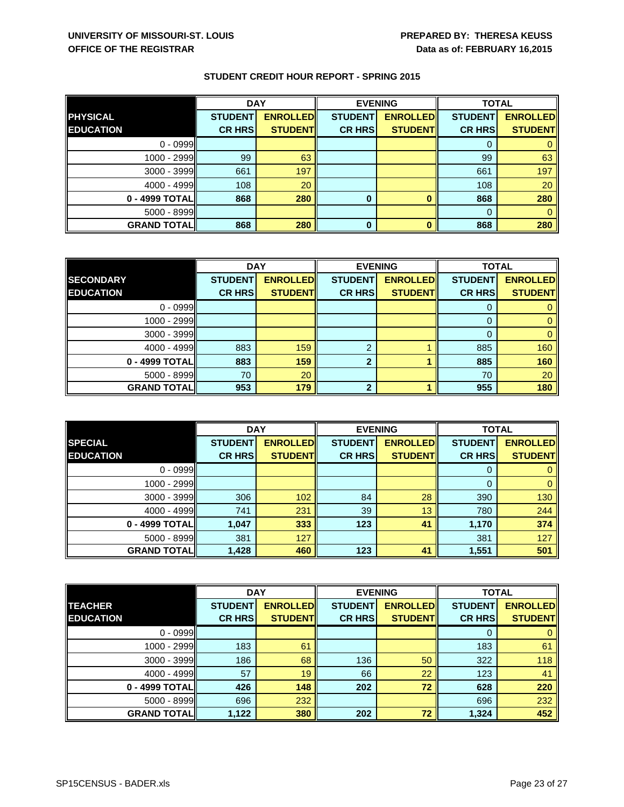|                     | <b>DAY</b>     |                 | <b>EVENING</b> |                 | <b>TOTAL</b>   |                 |
|---------------------|----------------|-----------------|----------------|-----------------|----------------|-----------------|
| <b>PHYSICAL</b>     | <b>STUDENT</b> | <b>ENROLLED</b> | <b>STUDENT</b> | <b>ENROLLED</b> | <b>STUDENT</b> | <b>ENROLLED</b> |
| <b>EDUCATION</b>    | <b>CR HRS</b>  | <b>STUDENT</b>  | <b>CR HRS</b>  | <b>STUDENTI</b> | <b>CR HRS</b>  | <b>STUDENT</b>  |
| $0 - 0999$          |                |                 |                |                 |                |                 |
| 1000 - 2999         | 99             | 63              |                |                 | 99             | 63              |
| $3000 - 3999$       | 661            | 197             |                |                 | 661            | 197             |
| 4000 - 4999         | 108            | 20              |                |                 | 108            | 20              |
| 0 - 4999 TOTAL      | 868            | 280             | 0              |                 | 868            | 280             |
| $5000 - 8999$       |                |                 |                |                 | 0              |                 |
| <b>GRAND TOTALI</b> | 868            | 280             | 0              |                 | 868            | 280             |

|                    | <b>DAY</b>     |                 | <b>EVENING</b> |                 | <b>TOTAL</b>   |                 |
|--------------------|----------------|-----------------|----------------|-----------------|----------------|-----------------|
| <b>SECONDARY</b>   | <b>STUDENT</b> | <b>ENROLLED</b> | <b>STUDENT</b> | <b>ENROLLED</b> | <b>STUDENT</b> | <b>ENROLLED</b> |
| <b>EDUCATION</b>   | <b>CR HRS</b>  | <b>STUDENT</b>  | <b>CR HRS</b>  | <b>STUDENT</b>  | <b>CR HRS</b>  | <b>STUDENT</b>  |
| $0 - 0999$         |                |                 |                |                 |                |                 |
| $1000 - 2999$      |                |                 |                |                 | $\Omega$       |                 |
| 3000 - 3999        |                |                 |                |                 |                |                 |
| 4000 - 4999        | 883            | 159             | າ              |                 | 885            | 160             |
| 0 - 4999 TOTAL     | 883            | 159             | $\mathbf{2}$   |                 | 885            | 160             |
| $5000 - 8999$      | 70             | 20              |                |                 | 70             | 20              |
| <b>GRAND TOTAL</b> | 953            | 179             | 2              |                 | 955            | 180             |

|                    | <b>DAY</b>     |                 | <b>EVENING</b> |                 | <b>TOTAL</b>   |                 |
|--------------------|----------------|-----------------|----------------|-----------------|----------------|-----------------|
| <b>SPECIAL</b>     | <b>STUDENT</b> | <b>ENROLLED</b> | <b>STUDENT</b> | <b>ENROLLED</b> | <b>STUDENT</b> | <b>ENROLLED</b> |
| <b>EDUCATION</b>   | <b>CR HRS</b>  | <b>STUDENT</b>  | <b>CR HRS</b>  | <b>STUDENT</b>  | <b>CR HRS</b>  | <b>STUDENT</b>  |
| $0 - 0999$         |                |                 |                |                 | 0              |                 |
| 1000 - 2999        |                |                 |                |                 | 0              |                 |
| 3000 - 3999        | 306            | 102             | 84             | 28              | 390            | 130             |
| 4000 - 4999        | 741            | 231             | 39             | 13              | 780            | 244             |
| 0 - 4999 TOTAL     | 1,047          | 333             | 123            | 41              | 1,170          | 374             |
| $5000 - 8999$      | 381            | 127             |                |                 | 381            | 127             |
| <b>GRAND TOTAL</b> | 1,428          | 460             | 123            | 41              | 1,551          | 501             |

|                                    | <b>DAY</b>                      |                                    | <b>EVENING</b>                  |                                    | <b>TOTAL</b>                    |                                   |
|------------------------------------|---------------------------------|------------------------------------|---------------------------------|------------------------------------|---------------------------------|-----------------------------------|
| <b>TEACHER</b><br><b>EDUCATION</b> | <b>STUDENT</b><br><b>CR HRS</b> | <b>ENROLLEDI</b><br><b>STUDENT</b> | <b>STUDENT</b><br><b>CR HRS</b> | <b>ENROLLEDI</b><br><b>STUDENT</b> | <b>STUDENT</b><br><b>CR HRS</b> | <b>ENROLLED</b><br><b>STUDENT</b> |
| $0 - 0999$                         |                                 |                                    |                                 |                                    | 0                               |                                   |
|                                    |                                 |                                    |                                 |                                    |                                 |                                   |
| 1000 - 2999                        | 183                             | 61                                 |                                 |                                    | 183                             | 61                                |
| $3000 - 3999$                      | 186                             | 68                                 | 136                             | 50                                 | 322                             | 118                               |
| $4000 - 4999$                      | 57                              | 19                                 | 66                              | 22                                 | 123                             | 41                                |
| 0 - 4999 TOTALI                    | 426                             | 148                                | 202                             | 72                                 | 628                             | 220                               |
| $5000 - 8999$                      | 696                             | 232                                |                                 |                                    | 696                             | 232                               |
| <b>GRAND TOTAL</b>                 | 1,122                           | 380                                | 202                             | 72                                 | 1,324                           | 452                               |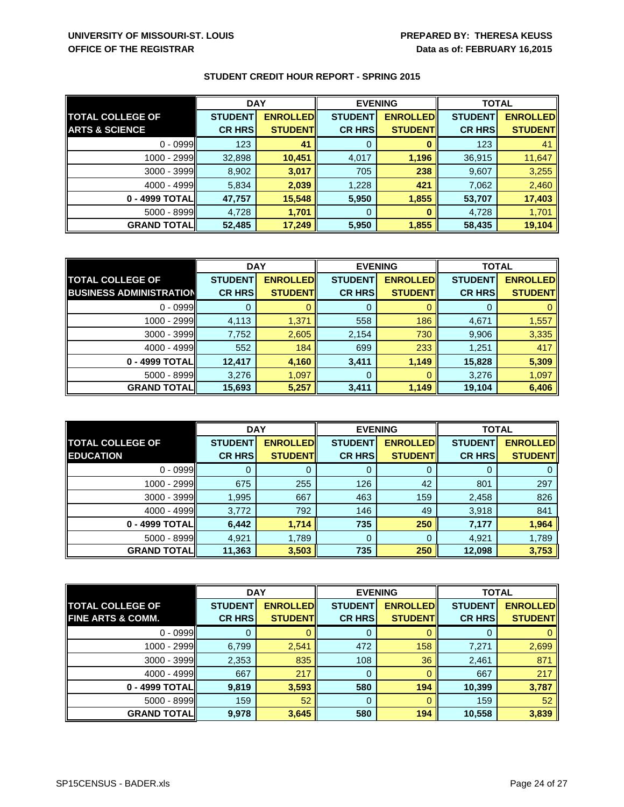|                           | <b>DAY</b>     |                 | <b>EVENING</b> |                 | <b>TOTAL</b>   |                 |
|---------------------------|----------------|-----------------|----------------|-----------------|----------------|-----------------|
| <b>TOTAL COLLEGE OF</b>   | <b>STUDENT</b> | <b>ENROLLED</b> | <b>STUDENT</b> | <b>ENROLLED</b> | <b>STUDENT</b> | <b>ENROLLED</b> |
| <b>ARTS &amp; SCIENCE</b> | <b>CR HRS</b>  | <b>STUDENT</b>  | <b>CR HRS</b>  | <b>STUDENT</b>  | <b>CR HRS</b>  | <b>STUDENT</b>  |
| $0 - 0999$                | 123            | 41              | 0              |                 | 123            | 41              |
| $1000 - 2999$             | 32,898         | 10,451          | 4,017          | 1,196           | 36,915         | 11,647          |
| 3000 - 3999               | 8,902          | 3,017           | 705            | 238             | 9,607          | 3,255           |
| $4000 - 4999$             | 5,834          | 2,039           | 1,228          | 421             | 7,062          | 2,460           |
| 0 - 4999 TOTALI           | 47,757         | 15,548          | 5,950          | 1,855           | 53,707         | 17,403          |
| 5000 - 8999               | 4,728          | 1,701           | 0              |                 | 4,728          | 1,701           |
| <b>GRAND TOTAL</b>        | 52,485         | 17,249          | 5,950          | 1,855           | 58,435         | 19,104          |

|                                | <b>DAY</b>     |                 | <b>EVENING</b> |                 | <b>TOTAL</b>   |                 |
|--------------------------------|----------------|-----------------|----------------|-----------------|----------------|-----------------|
| <b>TOTAL COLLEGE OF</b>        | <b>STUDENT</b> | <b>ENROLLED</b> | <b>STUDENT</b> | <b>ENROLLED</b> | <b>STUDENT</b> | <b>ENROLLED</b> |
| <b>BUSINESS ADMINISTRATION</b> | <b>CR HRS</b>  | <b>STUDENT</b>  | <b>CR HRS</b>  | <b>STUDENT</b>  | <b>CR HRS</b>  | <b>STUDENT</b>  |
| $0 - 0999$                     |                |                 |                |                 |                |                 |
| $1000 - 2999$                  | 4,113          | 1,371           | 558            | 186             | 4,671          | 1,557           |
| $3000 - 3999$                  | 7,752          | 2,605           | 2,154          | 730             | 9,906          | 3,335           |
| $4000 - 4999$                  | 552            | 184             | 699            | 233             | 1,251          | 417             |
| 0 - 4999 TOTAL                 | 12,417         | 4,160           | 3,411          | 1,149           | 15,828         | 5,309           |
| $5000 - 8999$                  | 3,276          | 1,097           | 0              |                 | 3,276          | 1,097           |
| <b>GRAND TOTAL</b>             | 15,693         | 5,257           | 3,411          | 1,149           | 19,104         | 6,406           |

|                         | <b>DAY</b>     |                 | <b>EVENING</b> |                  | <b>TOTAL</b>   |                 |
|-------------------------|----------------|-----------------|----------------|------------------|----------------|-----------------|
| <b>TOTAL COLLEGE OF</b> | <b>STUDENT</b> | <b>ENROLLED</b> | <b>STUDENT</b> | <b>ENROLLEDI</b> | <b>STUDENT</b> | <b>ENROLLED</b> |
| <b>EDUCATION</b>        | <b>CR HRS</b>  | <b>STUDENT</b>  | <b>CR HRS</b>  | <b>STUDENT</b>   | <b>CR HRS</b>  | <b>STUDENT</b>  |
| $0 - 0999$              |                |                 |                |                  |                |                 |
| 1000 - 2999             | 675            | 255             | 126            | 42               | 801            | 297             |
| 3000 - 3999             | 1,995          | 667             | 463            | 159              | 2,458          | 826             |
| $4000 - 4999$           | 3,772          | 792             | 146            | 49               | 3,918          | 841             |
| 0 - 4999 TOTAL          | 6,442          | 1,714           | 735            | 250              | 7,177          | 1,964           |
| $5000 - 8999$           | 4,921          | 1,789           |                | 0                | 4,921          | 1,789           |
| <b>GRAND TOTAL</b>      | 11,363         | 3,503           | 735            | 250              | 12,098         | 3,753           |

|                              | <b>DAY</b><br><b>EVENING</b> |                 |                | <b>TOTAL</b>     |                |                 |
|------------------------------|------------------------------|-----------------|----------------|------------------|----------------|-----------------|
| <b>TOTAL COLLEGE OF</b>      | <b>STUDENT</b>               | <b>ENROLLED</b> | <b>STUDENT</b> | <b>ENROLLEDI</b> | <b>STUDENT</b> | <b>ENROLLED</b> |
| <b>FINE ARTS &amp; COMM.</b> | <b>CR HRS</b>                | <b>STUDENT</b>  | <b>CR HRS</b>  | <b>STUDENT</b>   | <b>CR HRS</b>  | <b>STUDENT</b>  |
| $0 - 0999$                   |                              |                 |                |                  | 0              |                 |
| $1000 - 2999$                | 6,799                        | 2,541           | 472            | 158              | 7,271          | 2,699           |
| $3000 - 3999$                | 2,353                        | 835             | 108            | 36               | 2,461          | 871             |
| $4000 - 4999$                | 667                          | 217             | 0              |                  | 667            | 217             |
| 0 - 4999 TOTAL               | 9,819                        | 3,593           | 580            | 194              | 10,399         | 3,787           |
| 5000 - 8999                  | 159                          | 52              | 0              |                  | 159            | 52              |
| <b>GRAND TOTAL</b>           | 9,978                        | 3,645           | 580            | 194              | 10,558         | 3,839           |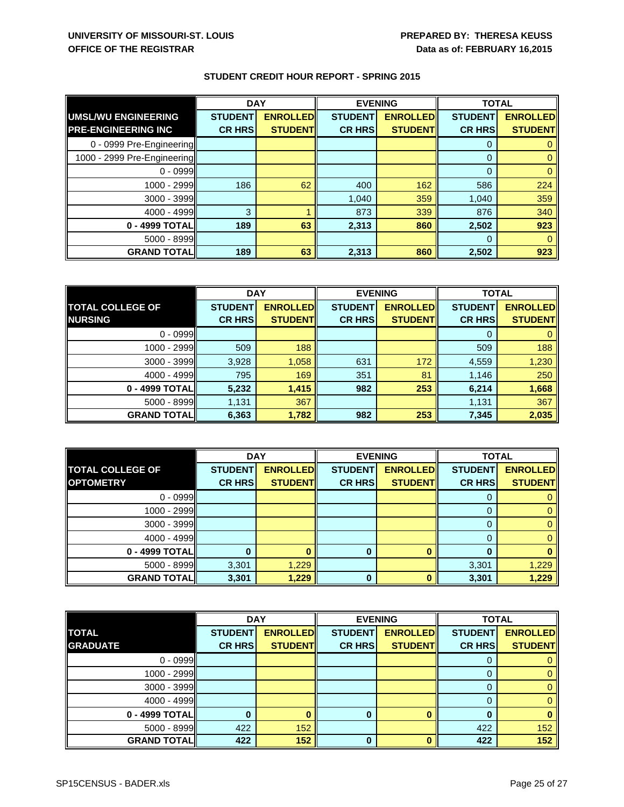|                             | <b>DAY</b>     |                 | <b>EVENING</b> |                 |                | <b>TOTAL</b>    |  |
|-----------------------------|----------------|-----------------|----------------|-----------------|----------------|-----------------|--|
| <b>UMSL/WU ENGINEERING</b>  | <b>STUDENT</b> | <b>ENROLLED</b> | <b>STUDENT</b> | <b>ENROLLED</b> | <b>STUDENT</b> | <b>ENROLLED</b> |  |
| <b>PRE-ENGINEERING INC</b>  | <b>CR HRS</b>  | <b>STUDENT</b>  | <b>CR HRS</b>  | <b>STUDENT</b>  | <b>CR HRS</b>  | <b>STUDENT</b>  |  |
| 0 - 0999 Pre-Engineering    |                |                 |                |                 | 0              |                 |  |
| 1000 - 2999 Pre-Engineering |                |                 |                |                 | $\Omega$       |                 |  |
| $0 - 0999$                  |                |                 |                |                 | $\mathbf 0$    |                 |  |
| 1000 - 2999                 | 186            | 62              | 400            | 162             | 586            | 224             |  |
| 3000 - 3999                 |                |                 | 1,040          | 359             | 1,040          | 359             |  |
| 4000 - 4999                 | 3              |                 | 873            | 339             | 876            | 340             |  |
| 0 - 4999 TOTAL              | 189            | 63              | 2,313          | 860             | 2,502          | 923             |  |
| 5000 - 8999                 |                |                 |                |                 | 0              |                 |  |
| <b>GRAND TOTAL</b>          | 189            | 63              | 2,313          | 860             | 2,502          | 923             |  |

|                         | <b>DAY</b>     |                 | <b>EVENING</b> |                 | <b>TOTAL</b>   |                 |
|-------------------------|----------------|-----------------|----------------|-----------------|----------------|-----------------|
| <b>TOTAL COLLEGE OF</b> | <b>STUDENT</b> | <b>ENROLLED</b> | <b>STUDENT</b> | <b>ENROLLED</b> | <b>STUDENT</b> | <b>ENROLLED</b> |
| <b>NURSING</b>          | <b>CR HRS</b>  | <b>STUDENT</b>  | <b>CR HRS</b>  | <b>STUDENT</b>  | <b>CR HRS</b>  | <b>STUDENT</b>  |
| $0 - 0999$              |                |                 |                |                 |                |                 |
| 1000 - 2999             | 509            | 188             |                |                 | 509            | 188             |
| 3000 - 3999             | 3,928          | 1,058           | 631            | 172             | 4,559          | 1,230           |
| 4000 - 4999             | 795            | 169             | 351            | 81              | 1,146          | 250             |
| 0 - 4999 TOTAL          | 5,232          | 1,415           | 982            | 253             | 6,214          | 1,668           |
| $5000 - 8999$           | 1,131          | 367             |                |                 | 1,131          | 367             |
| <b>GRAND TOTAL</b>      | 6,363          | 1,782           | 982            | 253             | 7,345          | 2,035           |

|                         | <b>DAY</b>     |                 | <b>EVENING</b> |                 | <b>TOTAL</b>   |                 |
|-------------------------|----------------|-----------------|----------------|-----------------|----------------|-----------------|
| <b>TOTAL COLLEGE OF</b> | <b>STUDENT</b> | <b>ENROLLED</b> | <b>STUDENT</b> | <b>ENROLLED</b> | <b>STUDENT</b> | <b>ENROLLED</b> |
| <b>OPTOMETRY</b>        | <b>CR HRS</b>  | <b>STUDENT</b>  | <b>CR HRS</b>  | <b>STUDENT</b>  | <b>CR HRS</b>  | <b>STUDENTI</b> |
| $0 - 0999$              |                |                 |                |                 | Ü              |                 |
| 1000 - 2999             |                |                 |                |                 |                |                 |
| $3000 - 3999$           |                |                 |                |                 | 0              |                 |
| $4000 - 4999$           |                |                 |                |                 | 0              |                 |
| 0 - 4999 TOTALI         |                |                 |                |                 | O              |                 |
| 5000 - 8999             | 3,301          | 1,229           |                |                 | 3,301          | 1,229           |
| <b>GRAND TOTALI</b>     | 3,301          | 1,229           |                |                 | 3,301          | 1,229           |

|                    | <b>DAY</b><br><b>EVENING</b> |                 | <b>TOTAL</b>   |                 |                |                 |
|--------------------|------------------------------|-----------------|----------------|-----------------|----------------|-----------------|
| <b>TOTAL</b>       | <b>STUDENT</b>               | <b>ENROLLED</b> | <b>STUDENT</b> | <b>ENROLLED</b> | <b>STUDENT</b> | <b>ENROLLED</b> |
| <b>GRADUATE</b>    | <b>CR HRS</b>                | <b>STUDENT</b>  | <b>CR HRS</b>  | <b>STUDENT</b>  | <b>CR HRS</b>  | <b>STUDENT</b>  |
| $0 - 0999$         |                              |                 |                |                 |                |                 |
| 1000 - 2999        |                              |                 |                |                 | 0              |                 |
| 3000 - 3999        |                              |                 |                |                 | 0              |                 |
| $4000 - 4999$      |                              |                 |                |                 | 0              |                 |
| 0 - 4999 TOTAL     |                              |                 | $\bf{0}$       | n               | $\bf{0}$       |                 |
| $5000 - 8999$      | 422                          | 152             |                |                 | 422            | 152             |
| <b>GRAND TOTAL</b> | 422                          | 152             | <sup>0</sup>   | n               | 422            | 152             |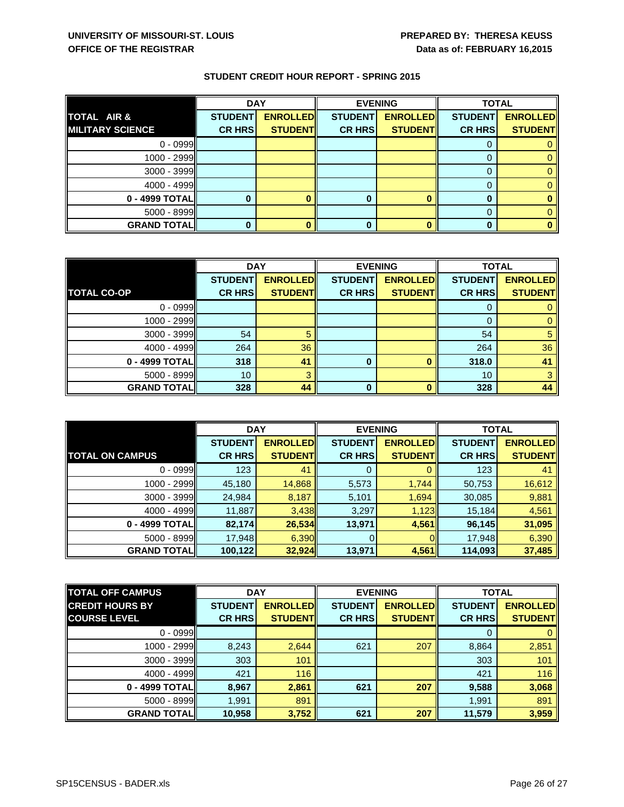|                         | <b>DAY</b>     |                 | <b>EVENING</b> |                 | <b>TOTAL</b>   |                 |
|-------------------------|----------------|-----------------|----------------|-----------------|----------------|-----------------|
| TOTAL AIR &             | <b>STUDENT</b> | <b>ENROLLED</b> | <b>STUDENT</b> | <b>ENROLLED</b> | <b>STUDENT</b> | <b>ENROLLED</b> |
| <b>MILITARY SCIENCE</b> | <b>CR HRS</b>  | <b>STUDENT</b>  | <b>CR HRS</b>  | <b>STUDENT</b>  | <b>CR HRS</b>  | <b>STUDENT</b>  |
| $0 - 0999$              |                |                 |                |                 |                |                 |
| $1000 - 2999$           |                |                 |                |                 |                |                 |
| 3000 - 3999             |                |                 |                |                 |                |                 |
| $4000 - 4999$           |                |                 |                |                 |                |                 |
| 0 - 4999 TOTAL          |                |                 |                |                 | 0              |                 |
| $5000 - 8999$           |                |                 |                |                 | 0              |                 |
| <b>GRAND TOTAL</b>      |                |                 |                |                 | 0              |                 |

|                    | <b>DAY</b>     |                 | <b>EVENING</b> |                 | <b>TOTAL</b>   |                 |
|--------------------|----------------|-----------------|----------------|-----------------|----------------|-----------------|
|                    | <b>STUDENT</b> | <b>ENROLLED</b> | <b>STUDENT</b> | <b>ENROLLED</b> | <b>STUDENT</b> | <b>ENROLLED</b> |
| <b>TOTAL CO-OP</b> | <b>CR HRS</b>  | <b>STUDENT</b>  | <b>CR HRS</b>  | <b>STUDENT</b>  | <b>CR HRS</b>  | <b>STUDENT</b>  |
| $0 - 0999$         |                |                 |                |                 |                |                 |
| 1000 - 2999        |                |                 |                |                 | 0              |                 |
| $3000 - 3999$      | 54             | 5               |                |                 | 54             |                 |
| $4000 - 4999$      | 264            | 36              |                |                 | 264            | 36              |
| 0 - 4999 TOTAL     | 318            | 41              | 0              |                 | 318.0          | 41              |
| $5000 - 8999$      | 10             | З               |                |                 | 10             | 3               |
| <b>GRAND TOTAL</b> | 328            | 44              | 0              |                 | 328            | 44              |

|                        | <b>DAY</b>     |                 | <b>EVENING</b> |                  | <b>TOTAL</b>   |                 |
|------------------------|----------------|-----------------|----------------|------------------|----------------|-----------------|
|                        | <b>STUDENT</b> | <b>ENROLLED</b> | <b>STUDENT</b> | <b>ENROLLEDI</b> | <b>STUDENT</b> | <b>ENROLLED</b> |
| <b>TOTAL ON CAMPUS</b> | <b>CR HRS</b>  | <b>STUDENTI</b> | <b>CR HRS</b>  | <b>STUDENTI</b>  | <b>CR HRS</b>  | <b>STUDENT</b>  |
| $0 - 0999$             | 123            | 41              |                |                  | 123            | 41              |
| $1000 - 2999$          | 45,180         | 14,868          | 5,573          | 1,744            | 50,753         | 16,612          |
| $3000 - 3999$          | 24,984         | 8,187           | 5,101          | 1,694            | 30,085         | 9,881           |
| $4000 - 4999$          | 11,887         | 3,438           | 3,297          | 1,123            | 15,184         | 4,561           |
| 0 - 4999 TOTAL         | 82,174         | 26,534          | 13,971         | 4,561            | 96,145         | 31,095          |
| $5000 - 8999$          | 17,948         | 6,390           |                |                  | 17,948         | 6,390           |
| <b>GRAND TOTAL</b>     | 100,122        | 32,924          | 13,971         | 4,561            | 114,093        | 37,485          |

| <b>TOTAL OFF CAMPUS</b> | <b>DAY</b>     |                 | <b>EVENING</b> |                 | <b>TOTAL</b>   |                 |
|-------------------------|----------------|-----------------|----------------|-----------------|----------------|-----------------|
| <b>CREDIT HOURS BY</b>  | <b>STUDENT</b> | <b>ENROLLED</b> | <b>STUDENT</b> | <b>ENROLLED</b> | <b>STUDENT</b> | <b>ENROLLED</b> |
| <b>COURSE LEVEL</b>     | <b>CR HRS</b>  | <b>STUDENT</b>  | <b>CR HRS</b>  | <b>STUDENT</b>  | <b>CR HRS</b>  | <b>STUDENTI</b> |
| $0 - 0999$              |                |                 |                |                 | 0              |                 |
| $1000 - 2999$           | 8,243          | 2,644           | 621            | 207             | 8,864          | 2,851           |
| $3000 - 3999$           | 303            | 101             |                |                 | 303            | 101             |
| $4000 - 4999$           | 421            | 116             |                |                 | 421            | 116             |
| 0 - 4999 TOTAL          | 8,967          | 2,861           | 621            | 207             | 9,588          | 3,068           |
| $5000 - 8999$           | 1,991          | 891             |                |                 | 1,991          | 891             |
| <b>GRAND TOTAL</b>      | 10,958         | 3,752           | 621            | 207             | 11,579         | 3,959           |